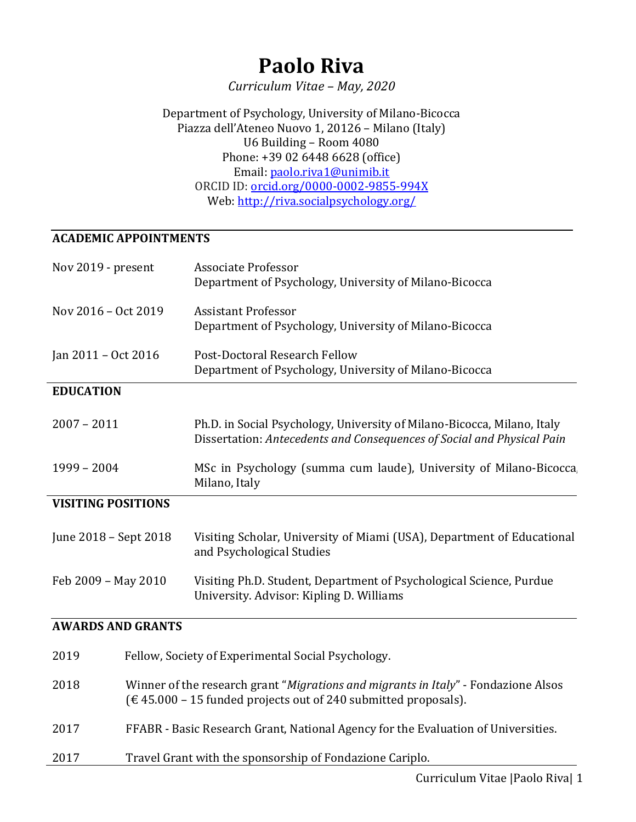# **Paolo Riva**

*Curriculum Vitae – May, 2020*

Department of Psychology, University of Milano-Bicocca Piazza dell'Ateneo Nuovo 1, 20126 – Milano (Italy) U6 Building – Room 4080 Phone: +39 02 6448 6628 (office) Email: [paolo.riva1@unimib.it](mailto:paolo.riva1@unimib.it) ORCID ID: [orcid.org/0000-0002-9855-994X](https://orcid.org/0000-0002-9855-994X) Web:<http://riva.socialpsychology.org/>

#### **ACADEMIC APPOINTMENTS**

| Nov 2019 - present        |                          | <b>Associate Professor</b><br>Department of Psychology, University of Milano-Bicocca                                                                 |
|---------------------------|--------------------------|------------------------------------------------------------------------------------------------------------------------------------------------------|
| Nov 2016 - Oct 2019       |                          | <b>Assistant Professor</b><br>Department of Psychology, University of Milano-Bicocca                                                                 |
| Jan 2011 - Oct 2016       |                          | Post-Doctoral Research Fellow<br>Department of Psychology, University of Milano-Bicocca                                                              |
| <b>EDUCATION</b>          |                          |                                                                                                                                                      |
| $2007 - 2011$             |                          | Ph.D. in Social Psychology, University of Milano-Bicocca, Milano, Italy<br>Dissertation: Antecedents and Consequences of Social and Physical Pain    |
| $1999 - 2004$             |                          | MSc in Psychology (summa cum laude), University of Milano-Bicocca<br>Milano, Italy                                                                   |
| <b>VISITING POSITIONS</b> |                          |                                                                                                                                                      |
| June 2018 - Sept 2018     |                          | Visiting Scholar, University of Miami (USA), Department of Educational<br>and Psychological Studies                                                  |
| Feb 2009 - May 2010       |                          | Visiting Ph.D. Student, Department of Psychological Science, Purdue<br>University. Advisor: Kipling D. Williams                                      |
|                           | <b>AWARDS AND GRANTS</b> |                                                                                                                                                      |
| 2019                      |                          | Fellow, Society of Experimental Social Psychology.                                                                                                   |
| 2018                      |                          | Winner of the research grant "Migrations and migrants in Italy" - Fondazione Alsos<br>(€45.000 – 15 funded projects out of 240 submitted proposals). |
| 2017                      |                          | FFABR - Basic Research Grant, National Agency for the Evaluation of Universities.                                                                    |

2017 Travel Grant with the sponsorship of Fondazione Cariplo.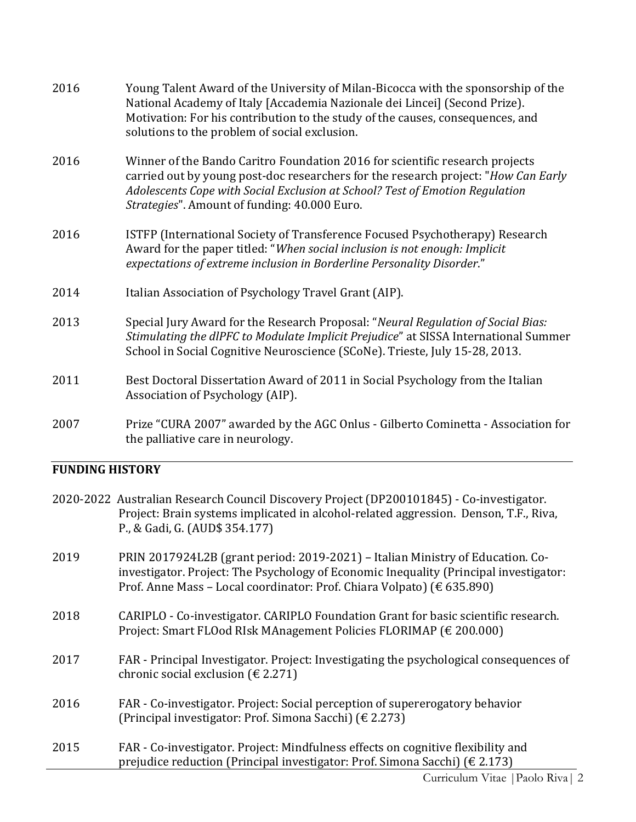| 2016 | Young Talent Award of the University of Milan-Bicocca with the sponsorship of the<br>National Academy of Italy [Accademia Nazionale dei Lincei] (Second Prize).<br>Motivation: For his contribution to the study of the causes, consequences, and<br>solutions to the problem of social exclusion. |
|------|----------------------------------------------------------------------------------------------------------------------------------------------------------------------------------------------------------------------------------------------------------------------------------------------------|
| 2016 | Winner of the Bando Caritro Foundation 2016 for scientific research projects<br>carried out by young post-doc researchers for the research project: "How Can Early<br>Adolescents Cope with Social Exclusion at School? Test of Emotion Regulation<br>Strategies". Amount of funding: 40.000 Euro. |
| 2016 | ISTFP (International Society of Transference Focused Psychotherapy) Research<br>Award for the paper titled: "When social inclusion is not enough: Implicit<br>expectations of extreme inclusion in Borderline Personality Disorder."                                                               |
| 2014 | Italian Association of Psychology Travel Grant (AIP).                                                                                                                                                                                                                                              |
| 2013 | Special Jury Award for the Research Proposal: "Neural Regulation of Social Bias:<br>Stimulating the dlPFC to Modulate Implicit Prejudice" at SISSA International Summer<br>School in Social Cognitive Neuroscience (SCoNe). Trieste, July 15-28, 2013.                                             |
| 2011 | Best Doctoral Dissertation Award of 2011 in Social Psychology from the Italian<br>Association of Psychology (AIP).                                                                                                                                                                                 |
| 2007 | Prize "CURA 2007" awarded by the AGC Onlus - Gilberto Cominetta - Association for<br>the palliative care in neurology.                                                                                                                                                                             |

# **FUNDING HISTORY**

|      | 2020-2022 Australian Research Council Discovery Project (DP200101845) - Co-investigator.<br>Project: Brain systems implicated in alcohol-related aggression. Denson, T.F., Riva,<br>P., & Gadi, G. (AUD\$ 354.177)                                |
|------|---------------------------------------------------------------------------------------------------------------------------------------------------------------------------------------------------------------------------------------------------|
| 2019 | PRIN 2017924L2B (grant period: 2019-2021) - Italian Ministry of Education. Co-<br>investigator. Project: The Psychology of Economic Inequality (Principal investigator:<br>Prof. Anne Mass - Local coordinator: Prof. Chiara Volpato) (€ 635.890) |
| 2018 | CARIPLO - Co-investigator. CARIPLO Foundation Grant for basic scientific research.<br>Project: Smart FLOod RIsk MAnagement Policies FLORIMAP (€ 200.000)                                                                                          |
| 2017 | FAR - Principal Investigator. Project: Investigating the psychological consequences of<br>chronic social exclusion ( $\in$ 2.271)                                                                                                                 |
| 2016 | FAR - Co-investigator. Project: Social perception of supererogatory behavior<br>(Principal investigator: Prof. Simona Sacchi) ( $\in$ 2.273)                                                                                                      |
| 2015 | FAR - Co-investigator. Project: Mindfulness effects on cognitive flexibility and<br>prejudice reduction (Principal investigator: Prof. Simona Sacchi) (€ 2.173)                                                                                   |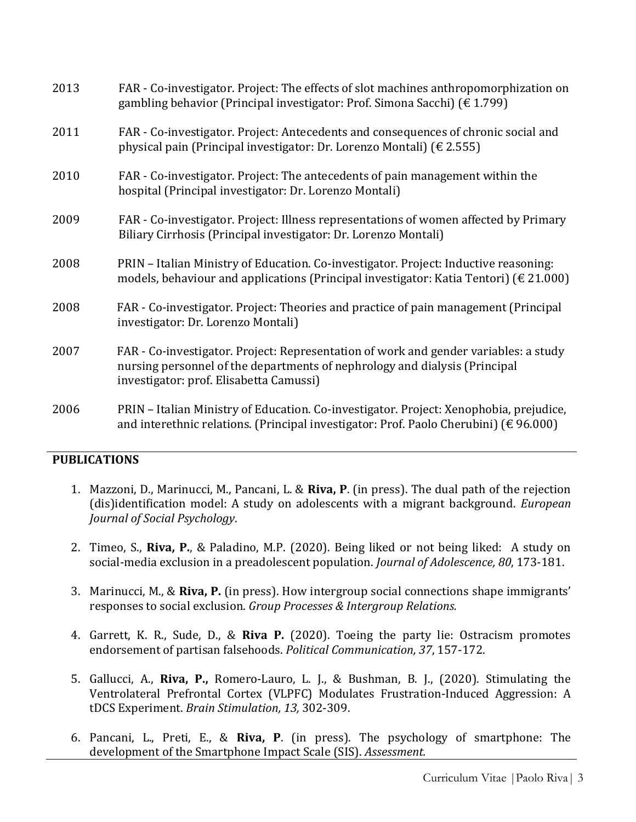| 2013 | FAR - Co-investigator. Project: The effects of slot machines anthropomorphization on<br>gambling behavior (Principal investigator: Prof. Simona Sacchi) ( $\in$ 1.799)                                        |
|------|---------------------------------------------------------------------------------------------------------------------------------------------------------------------------------------------------------------|
| 2011 | FAR - Co-investigator. Project: Antecedents and consequences of chronic social and<br>physical pain (Principal investigator: Dr. Lorenzo Montali) ( $\epsilon$ 2.555)                                         |
| 2010 | FAR - Co-investigator. Project: The antecedents of pain management within the<br>hospital (Principal investigator: Dr. Lorenzo Montali)                                                                       |
| 2009 | FAR - Co-investigator. Project: Illness representations of women affected by Primary<br>Biliary Cirrhosis (Principal investigator: Dr. Lorenzo Montali)                                                       |
| 2008 | PRIN - Italian Ministry of Education. Co-investigator. Project: Inductive reasoning:<br>models, behaviour and applications (Principal investigator: Katia Tentori) ( $\epsilon$ 21.000)                       |
| 2008 | FAR - Co-investigator. Project: Theories and practice of pain management (Principal<br>investigator: Dr. Lorenzo Montali)                                                                                     |
| 2007 | FAR - Co-investigator. Project: Representation of work and gender variables: a study<br>nursing personnel of the departments of nephrology and dialysis (Principal<br>investigator: prof. Elisabetta Camussi) |
| 2006 | PRIN - Italian Ministry of Education. Co-investigator. Project: Xenophobia, prejudice,<br>and interethnic relations. (Principal investigator: Prof. Paolo Cherubini) (€ 96.000)                               |

#### **PUBLICATIONS**

- 1. Mazzoni, D., Marinucci, M., Pancani, L. & **Riva, P**. (in press). The dual path of the rejection (dis)identification model: A study on adolescents with a migrant background. *European Journal of Social Psychology*.
- 2. Timeo, S., **Riva, P.**, & Paladino, M.P. (2020). Being liked or not being liked: A study on social-media exclusion in a preadolescent population. *Journal of Adolescence, 80*, 173-181.
- 3. Marinucci, M., & **Riva, P.** (in press). How intergroup social connections shape immigrants' responses to social exclusion. *Group Processes & Intergroup Relations.*
- 4. Garrett, K. R., Sude, D., & **Riva P.** (2020). Toeing the party lie: Ostracism promotes endorsement of partisan falsehoods. *Political Communication, 37*, 157-172.
- 5. Gallucci, A., **Riva, P.,** Romero-Lauro, L. J., & Bushman, B. J., (2020). Stimulating the Ventrolateral Prefrontal Cortex (VLPFC) Modulates Frustration-Induced Aggression: A tDCS Experiment. *Brain Stimulation, 13,* 302-309.
- 6. Pancani, L., Preti, E., & **Riva, P**. (in press). The psychology of smartphone: The development of the Smartphone Impact Scale (SIS). *Assessment.*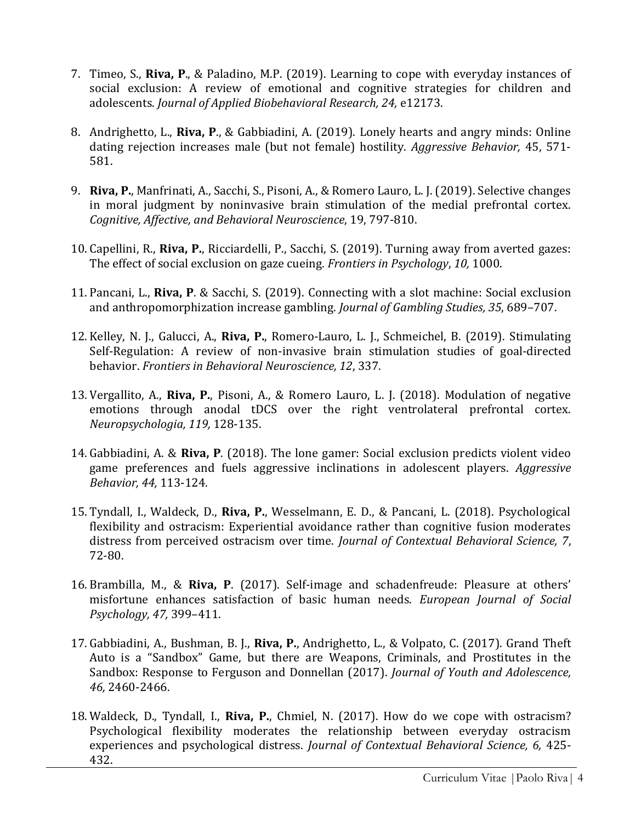- 7. Timeo, S., **Riva, P**., & Paladino, M.P. (2019). Learning to cope with everyday instances of social exclusion: A review of emotional and cognitive strategies for children and adolescents. *Journal of Applied Biobehavioral Research, 24,* e12173.
- 8. Andrighetto, L., **Riva, P**., & Gabbiadini, A. (2019). Lonely hearts and angry minds: Online dating rejection increases male (but not female) hostility. *Aggressive Behavior,* 45, 571- 581.
- 9. **Riva, P.**, Manfrinati, A., Sacchi, S., Pisoni, A., & Romero Lauro, L. J. (2019). Selective changes in moral judgment by noninvasive brain stimulation of the medial prefrontal cortex. *Cognitive, Affective, and Behavioral Neuroscience*, 19, 797-810.
- 10. Capellini, R., **Riva, P.**, Ricciardelli, P., Sacchi, S. (2019). Turning away from averted gazes: The effect of social exclusion on gaze cueing. *Frontiers in Psychology*, *10,* 1000.
- 11. Pancani, L., **Riva, P**. & Sacchi, S. (2019). Connecting with a slot machine: Social exclusion and anthropomorphization increase gambling. *Journal of Gambling Studies, 35*, 689–707.
- 12. Kelley, N. J., Galucci, A., **Riva, P.**, Romero-Lauro, L. J., Schmeichel, B. (2019). Stimulating Self-Regulation: A review of non-invasive brain stimulation studies of goal-directed behavior. *Frontiers in Behavioral Neuroscience, 12*, 337.
- 13. Vergallito, A., **Riva, P.**, Pisoni, A., & Romero Lauro, L. J. (2018). Modulation of negative emotions through anodal tDCS over the right ventrolateral prefrontal cortex. *Neuropsychologia, 119,* 128-135.
- 14. Gabbiadini, A. & **Riva, P**. (2018). The lone gamer: Social exclusion predicts violent video game preferences and fuels aggressive inclinations in adolescent players. *Aggressive Behavior, 44,* 113-124.
- 15. Tyndall, I., Waldeck, D., **Riva, P.**, Wesselmann, E. D., & Pancani, L. (2018). Psychological flexibility and ostracism: Experiential avoidance rather than cognitive fusion moderates distress from perceived ostracism over time. *Journal of Contextual Behavioral Science, 7*, 72-80.
- 16. Brambilla, M., & **Riva, P**. (2017). Self-image and schadenfreude: Pleasure at others' misfortune enhances satisfaction of basic human needs. *European Journal of Social Psychology, 47,* 399–411.
- 17. Gabbiadini, A., Bushman, B. J., **Riva, P.**, Andrighetto, L., & Volpato, C. (2017). Grand Theft Auto is a "Sandbox" Game, but there are Weapons, Criminals, and Prostitutes in the Sandbox: Response to Ferguson and Donnellan (2017). *Journal of Youth and Adolescence, 46,* 2460-2466.
- 18. Waldeck, D., Tyndall, I., **Riva, P.**, Chmiel, N. (2017). How do we cope with ostracism? Psychological flexibility moderates the relationship between everyday ostracism experiences and psychological distress. *Journal of Contextual Behavioral Science, 6,* 425- 432.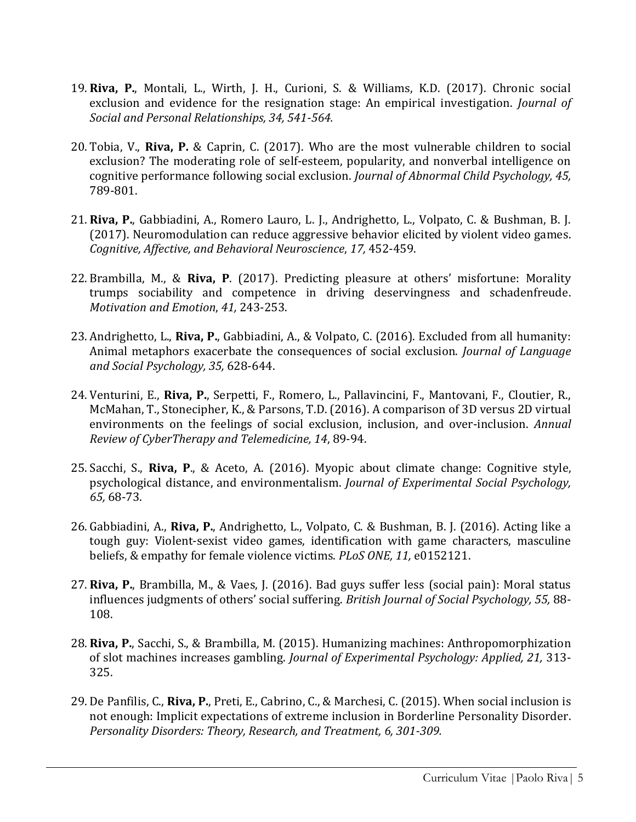- 19. **Riva, P.**, Montali, L., Wirth, J. H., Curioni, S. & Williams, K.D. (2017). Chronic social exclusion and evidence for the resignation stage: An empirical investigation. *Journal of Social and Personal Relationships, 34, 541-564.*
- 20. Tobia, V., **Riva, P.** & Caprin, C. (2017). Who are the most vulnerable children to social exclusion? The moderating role of self-esteem, popularity, and nonverbal intelligence on cognitive performance following social exclusion. *Journal of Abnormal Child Psychology, 45,*  789-801.
- 21. **Riva, P.**, Gabbiadini, A., Romero Lauro, L. J., Andrighetto, L., Volpato, C. & Bushman, B. J. (2017). Neuromodulation can reduce aggressive behavior elicited by violent video games. *Cognitive, Affective, and Behavioral Neuroscience*, *17,* 452-459.
- 22. Brambilla, M., & **Riva, P**. (2017). Predicting pleasure at others' misfortune: Morality trumps sociability and competence in driving deservingness and schadenfreude. *Motivation and Emotion*, *41,* 243-253.
- 23. Andrighetto, L., **Riva, P.**, Gabbiadini, A., & Volpato, C. (2016). Excluded from all humanity: Animal metaphors exacerbate the consequences of social exclusion. *Journal of Language and Social Psychology, 35,* 628-644.
- 24. Venturini, E., **Riva, P.**, Serpetti, F., Romero, L., Pallavincini, F., Mantovani, F., Cloutier, R., McMahan, T., Stonecipher, K., & Parsons, T.D. (2016). A comparison of 3D versus 2D virtual environments on the feelings of social exclusion, inclusion, and over-inclusion. *Annual Review of CyberTherapy and Telemedicine, 14*, 89-94.
- 25. Sacchi, S., **Riva, P**., & Aceto, A. (2016). Myopic about climate change: Cognitive style, psychological distance, and environmentalism. *Journal of Experimental Social Psychology, 65,* 68-73.
- 26. Gabbiadini, A., **Riva, P.**, Andrighetto, L., Volpato, C. & Bushman, B. J. (2016). Acting like a tough guy: Violent-sexist video games, identification with game characters, masculine beliefs, & empathy for female violence victims. *PLoS ONE, 11,* e0152121.
- 27. **Riva, P.**, Brambilla, M., & Vaes, J. (2016). Bad guys suffer less (social pain): Moral status influences judgments of others' social suffering. *British Journal of Social Psychology, 55,* 88- 108.
- 28. **Riva, P.**, Sacchi, S., & Brambilla, M. (2015). Humanizing machines: Anthropomorphization of slot machines increases gambling. *Journal of Experimental Psychology: Applied, 21,* 313- 325.
- 29. De Panfilis, C., **Riva, P.**, Preti, E., Cabrino, C., & Marchesi, C. (2015). When social inclusion is not enough: Implicit expectations of extreme inclusion in Borderline Personality Disorder. *Personality Disorders: Theory, Research, and Treatment, 6, 301-309.*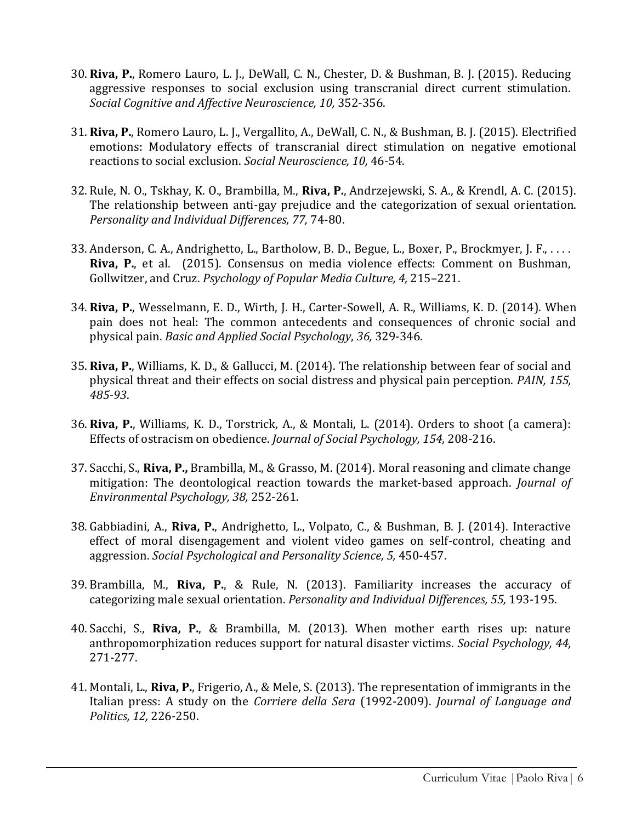- 30. **Riva, P.**, Romero Lauro, L. J., DeWall, C. N., Chester, D. & Bushman, B. J. (2015). Reducing aggressive responses to social exclusion using transcranial direct current stimulation. *Social Cognitive and Affective Neuroscience, 10,* 352-356.
- 31. **Riva, P.**, Romero Lauro, L. J., Vergallito, A., DeWall, C. N., & Bushman, B. J. (2015). Electrified emotions: Modulatory effects of transcranial direct stimulation on negative emotional reactions to social exclusion. *Social Neuroscience, 10,* 46-54.
- 32. Rule, N. O., Tskhay, K. O., Brambilla, M., **Riva, P.**, Andrzejewski, S. A., & Krendl, A. C. (2015). The relationship between anti-gay prejudice and the categorization of sexual orientation. *Personality and Individual Differences, 77,* 74-80.
- 33. Anderson, C. A., Andrighetto, L., Bartholow, B. D., Begue, L., Boxer, P., Brockmyer, J. F., . . . . **Riva, P.**, et al. (2015). Consensus on media violence effects: Comment on Bushman, Gollwitzer, and Cruz. *Psychology of Popular Media Culture, 4,* 215–221.
- 34. **Riva, P.**, Wesselmann, E. D., Wirth, J. H., Carter-Sowell, A. R., Williams, K. D. (2014). When pain does not heal: The common antecedents and consequences of chronic social and physical pain. *Basic and Applied Social Psychology*, *36,* 329-346.
- 35. **Riva, P.**, Williams, K. D., & Gallucci, M. (2014). The relationship between fear of social and physical threat and their effects on social distress and physical pain perception. *PAIN, 155, 485-93*.
- 36. **Riva, P.**, Williams, K. D., Torstrick, A., & Montali, L. (2014). Orders to shoot (a camera): Effects of ostracism on obedience. *Journal of Social Psychology, 154,* 208-216.
- 37. Sacchi, S., **Riva, P.,** Brambilla, M., & Grasso, M. (2014). Moral reasoning and climate change mitigation: The deontological reaction towards the market-based approach. *Journal of Environmental Psychology, 38,* 252-261.
- 38. Gabbiadini, A., **Riva, P.**, Andrighetto, L., Volpato, C., & Bushman, B. J. (2014). Interactive effect of moral disengagement and violent video games on self-control, cheating and aggression. *Social Psychological and Personality Science, 5,* 450-457.
- 39. Brambilla, M., **Riva, P.**, & Rule, N. (2013). Familiarity increases the accuracy of categorizing male sexual orientation. *Personality and Individual Differences, 55,* 193-195.
- 40. Sacchi, S., **Riva, P.**, & Brambilla, M. (2013). When mother earth rises up: nature anthropomorphization reduces support for natural disaster victims. *Social Psychology, 44,* 271-277.
- 41. Montali, L., **Riva, P.**, Frigerio, A., & Mele, S. (2013). The representation of immigrants in the Italian press: A study on the *Corriere della Sera* (1992-2009). *Journal of Language and Politics, 12,* 226-250.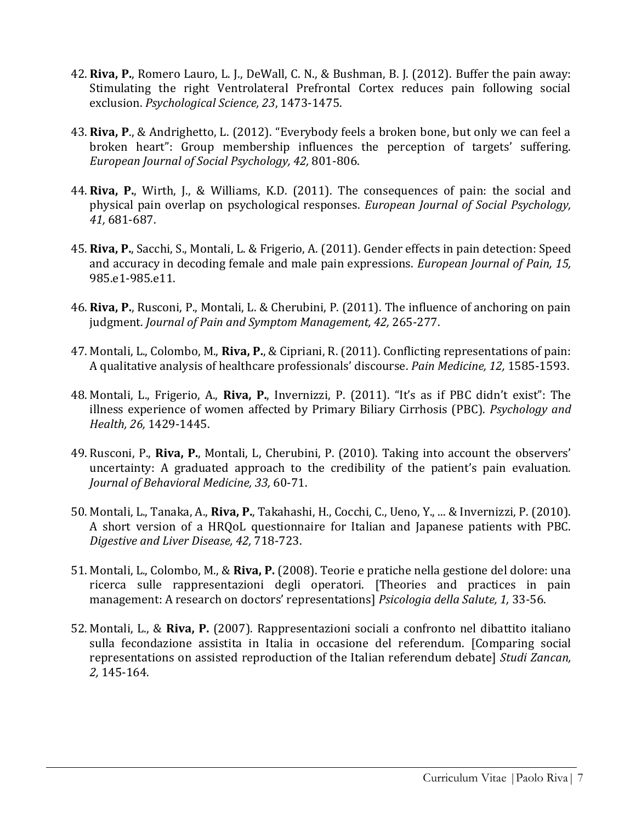- 42. **Riva, P.**, Romero Lauro, L. J., DeWall, C. N., & Bushman, B. J. (2012). Buffer the pain away: Stimulating the right Ventrolateral Prefrontal Cortex reduces pain following social exclusion. *Psychological Science, 23*, 1473-1475.
- 43. **Riva, P**., & Andrighetto, L. (2012). "Everybody feels a broken bone, but only we can feel a broken heart": Group membership influences the perception of targets' suffering. *European Journal of Social Psychology, 42,* 801-806.
- 44. **Riva, P.**, Wirth, J., & Williams, K.D. (2011). The consequences of pain: the social and physical pain overlap on psychological responses. *European Journal of Social Psychology, 41,* 681-687.
- 45. **Riva, P.**, Sacchi, S., Montali, L. & Frigerio, A. (2011). Gender effects in pain detection: Speed and accuracy in decoding female and male pain expressions. *European Journal of Pain, 15,* 985.e1-985.e11.
- 46. **Riva, P.**, Rusconi, P., Montali, L. & Cherubini, P. (2011). The influence of anchoring on pain judgment. *Journal of Pain and Symptom Management, 42,* 265-277.
- 47. Montali, L., Colombo, M., **Riva, P.**, & Cipriani, R. (2011). Conflicting representations of pain: A qualitative analysis of healthcare professionals' discourse. *Pain Medicine, 12,* 1585-1593.
- 48. Montali, L., Frigerio, A., **Riva, P.**, Invernizzi, P. (2011). "It's as if PBC didn't exist": The illness experience of women affected by Primary Biliary Cirrhosis (PBC). *Psychology and Health, 26,* 1429-1445.
- 49. Rusconi, P., **Riva, P.**, Montali, L, Cherubini, P. (2010). Taking into account the observers' uncertainty: A graduated approach to the credibility of the patient's pain evaluation*. Journal of Behavioral Medicine, 33,* 60-71.
- 50. Montali, L., Tanaka, A., **Riva, P.**, Takahashi, H., Cocchi, C., Ueno, Y., ... & Invernizzi, P. (2010). A short version of a HRQoL questionnaire for Italian and Japanese patients with PBC. *Digestive and Liver Disease, 42,* 718-723.
- 51. Montali, L., Colombo, M., & **Riva, P.** (2008). Teorie e pratiche nella gestione del dolore: una ricerca sulle rappresentazioni degli operatori. [Theories and practices in pain management: A research on doctors' representations] *Psicologia della Salute, 1,* 33-56.
- 52. Montali, L., & **Riva, P.** (2007). Rappresentazioni sociali a confronto nel dibattito italiano sulla fecondazione assistita in Italia in occasione del referendum. [Comparing social representations on assisted reproduction of the Italian referendum debate] *Studi Zancan, 2,* 145-164.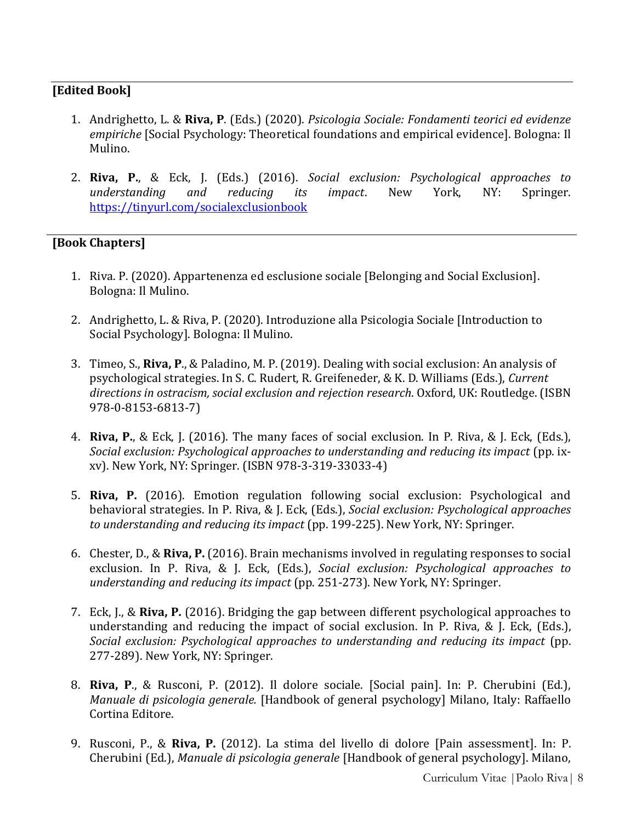### **[Edited Book]**

- 1. Andrighetto, L. & **Riva, P**. (Eds.) (2020). *Psicologia Sociale: Fondamenti teorici ed evidenze empiriche* [Social Psychology: Theoretical foundations and empirical evidence]. Bologna: Il Mulino.
- 2. **Riva, P.**, & Eck, J. (Eds.) (2016). *Social exclusion: Psychological approaches to understanding and reducing its impact*. New York, NY: Springer. <https://tinyurl.com/socialexclusionbook>

### **[Book Chapters]**

- 1. Riva. P. (2020). Appartenenza ed esclusione sociale [Belonging and Social Exclusion]. Bologna: Il Mulino.
- 2. Andrighetto, L. & Riva, P. (2020). Introduzione alla Psicologia Sociale [Introduction to Social Psychology]. Bologna: Il Mulino.
- 3. Timeo, S., **Riva, P**., & Paladino, M. P. (2019). Dealing with social exclusion: An analysis of psychological strategies. In S. C. Rudert, R. Greifeneder, & K. D. Williams (Eds.), *Current directions in ostracism, social exclusion and rejection research*. Oxford, UK: Routledge. (ISBN 978-0-8153-6813-7)
- 4. **Riva, P.**, & Eck, J. (2016). The many faces of social exclusion. In P. Riva, & J. Eck, (Eds.), *Social exclusion: Psychological approaches to understanding and reducing its impact* (pp. ixxv). New York, NY: Springer. (ISBN 978-3-319-33033-4)
- 5. **Riva, P.** (2016). Emotion regulation following social exclusion: Psychological and behavioral strategies. In P. Riva, & J. Eck, (Eds.), *Social exclusion: Psychological approaches to understanding and reducing its impact* (pp. 199-225). New York, NY: Springer.
- 6. Chester, D., & **Riva, P.** (2016). Brain mechanisms involved in regulating responses to social exclusion. In P. Riva, & J. Eck, (Eds.), *Social exclusion: Psychological approaches to understanding and reducing its impact* (pp. 251-273). New York, NY: Springer.
- 7. Eck, J., & **Riva, P.** (2016). Bridging the gap between different psychological approaches to understanding and reducing the impact of social exclusion. In P. Riva, & J. Eck, (Eds.), *Social exclusion: Psychological approaches to understanding and reducing its impact* (pp. 277-289). New York, NY: Springer.
- 8. **Riva, P**., & Rusconi, P. (2012). Il dolore sociale. [Social pain]. In: P. Cherubini (Ed.), *Manuale di psicologia generale.* [Handbook of general psychology] Milano, Italy: Raffaello Cortina Editore.
- 9. Rusconi, P., & **Riva, P.** (2012). La stima del livello di dolore [Pain assessment]. In: P. Cherubini (Ed.), *Manuale di psicologia generale* [Handbook of general psychology]. Milano,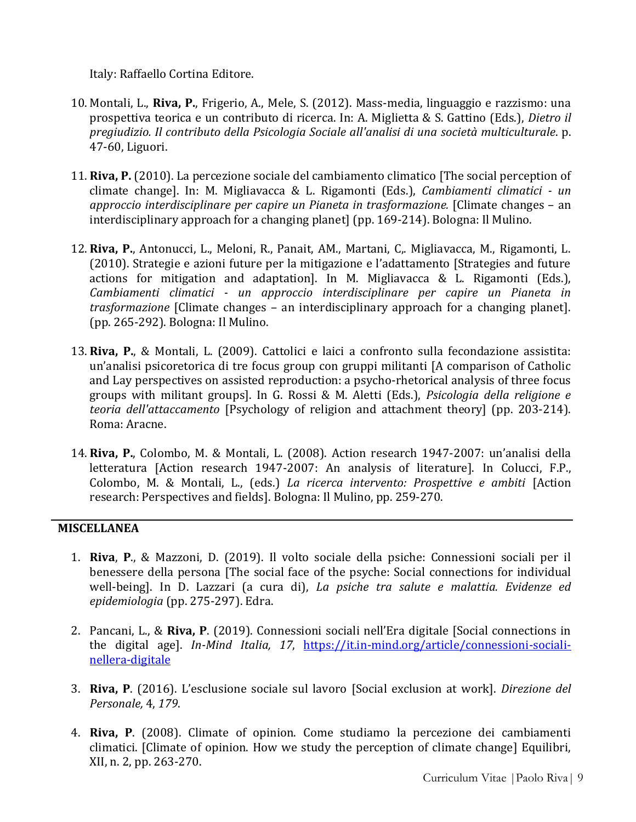Italy: Raffaello Cortina Editore.

- 10. Montali, L., **Riva, P.**, Frigerio, A., Mele, S. (2012). Mass-media, linguaggio e razzismo: una prospettiva teorica e un contributo di ricerca. In: A. Miglietta & S. Gattino (Eds.), *Dietro il pregiudizio. Il contributo della Psicologia Sociale all'analisi di una società multiculturale*. p. 47-60, Liguori.
- 11. **Riva, P.** (2010). La percezione sociale del cambiamento climatico [The social perception of climate change]. In: M. Migliavacca & L. Rigamonti (Eds.), *Cambiamenti climatici - un approccio interdisciplinare per capire un Pianeta in trasformazione.* [Climate changes – an interdisciplinary approach for a changing planet] (pp. 169-214). Bologna: Il Mulino.
- 12. **Riva, P.**, Antonucci, L., Meloni, R., Panait, AM., Martani, C,. Migliavacca, M., Rigamonti, L. (2010). Strategie e azioni future per la mitigazione e l'adattamento [Strategies and future actions for mitigation and adaptation]. In M. Migliavacca & L. Rigamonti (Eds.), *Cambiamenti climatici - un approccio interdisciplinare per capire un Pianeta in trasformazione* [Climate changes – an interdisciplinary approach for a changing planet]. (pp. 265-292). Bologna: Il Mulino.
- 13. **Riva, P.**, & Montali, L. (2009). Cattolici e laici a confronto sulla fecondazione assistita: un'analisi psicoretorica di tre focus group con gruppi militanti [A comparison of Catholic and Lay perspectives on assisted reproduction: a psycho-rhetorical analysis of three focus groups with militant groups]. In G. Rossi & M. Aletti (Eds.), *Psicologia della religione e teoria dell'attaccamento* [Psychology of religion and attachment theory] (pp. 203-214). Roma: Aracne.
- 14. **Riva, P.**, Colombo, M. & Montali, L. (2008). Action research 1947-2007: un'analisi della letteratura [Action research 1947-2007: An analysis of literature]. In Colucci, F.P., Colombo, M. & Montali, L., (eds.) *La ricerca intervento: Prospettive e ambiti* [Action research: Perspectives and fields]. Bologna: Il Mulino, pp. 259-270.

#### **MISCELLANEA**

- 1. **Riva**, **P**., & Mazzoni, D. (2019). Il volto sociale della psiche: Connessioni sociali per il benessere della persona [The social face of the psyche: Social connections for individual well-being]. In D. Lazzari (a cura di), *La psiche tra salute e malattia. Evidenze ed epidemiologia* (pp. 275-297). Edra.
- 2. Pancani, L., & **Riva, P**. (2019). Connessioni sociali nell'Era digitale [Social connections in the digital age]. *In-Mind Italia, 17*, [https://it.in-mind.org/article/connessioni-sociali](https://it.in-mind.org/article/connessioni-sociali-nellera-digitale)[nellera-digitale](https://it.in-mind.org/article/connessioni-sociali-nellera-digitale)
- 3. **Riva, P**. (2016). L'esclusione sociale sul lavoro [Social exclusion at work]. *Direzione del Personale,* 4, *179*.
- 4. **Riva, P**. (2008). Climate of opinion. Come studiamo la percezione dei cambiamenti climatici. [Climate of opinion. How we study the perception of climate change] Equilibri, XII, n. 2, pp. 263-270.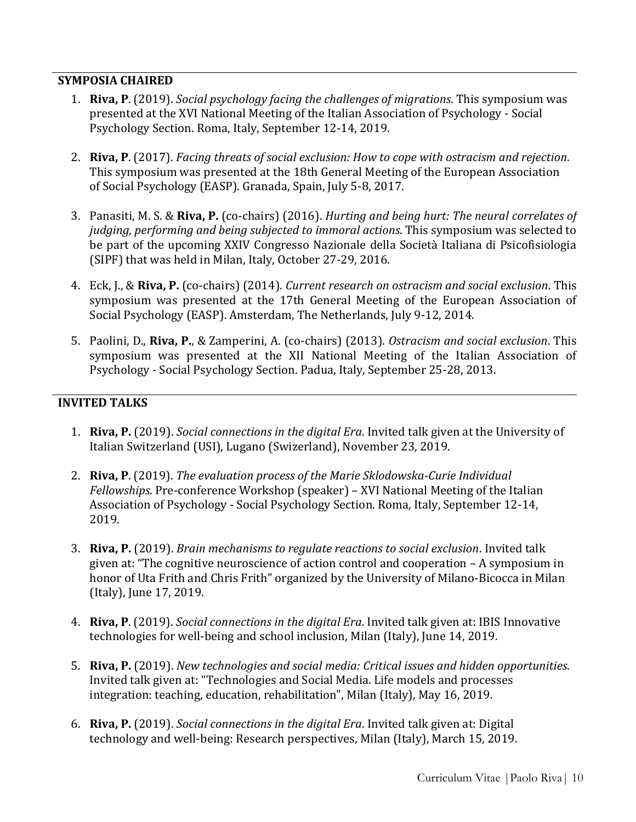#### **SYMPOSIA CHAIRED**

- 1. **Riva, P**. (2019). *Social psychology facing the challenges of migrations*. This symposium was presented at the XVI National Meeting of the Italian Association of Psychology - Social Psychology Section. Roma, Italy, September 12-14, 2019.
- 2. **Riva, P**. (2017). *Facing threats of social exclusion: How to cope with ostracism and rejection*. This symposium was presented at the 18th General Meeting of the European Association of Social Psychology (EASP). Granada, Spain, July 5-8, 2017.
- 3. Panasiti, M. S. & **Riva, P.** (co-chairs) (2016). *Hurting and being hurt: The neural correlates of judging, performing and being subjected to immoral actions*. This symposium was selected to be part of the upcoming XXIV Congresso Nazionale della Società Italiana di Psicofisiologia (SIPF) that was held in Milan, Italy, October 27-29, 2016.
- 4. Eck, J., & **Riva, P.** (co-chairs) (2014). *Current research on ostracism and social exclusion*. This symposium was presented at the 17th General Meeting of the European Association of Social Psychology (EASP). Amsterdam, The Netherlands, July 9-12, 2014.
- 5. Paolini, D., **Riva, P.**, & Zamperini, A. (co-chairs) (2013). *Ostracism and social exclusion*. This symposium was presented at the XII National Meeting of the Italian Association of Psychology - Social Psychology Section. Padua, Italy, September 25-28, 2013.

# **INVITED TALKS**

- 1. **Riva, P.** (2019). *Social connections in the digital Era*. Invited talk given at the University of Italian Switzerland (USI), Lugano (Swizerland), November 23, 2019.
- 2. **Riva, P**. (2019). *The evaluation process of the Marie Sklodowska-Curie Individual Fellowships*. Pre-conference Workshop (speaker) – XVI National Meeting of the Italian Association of Psychology - Social Psychology Section. Roma, Italy, September 12-14, 2019.
- 3. **Riva, P.** (2019). *Brain mechanisms to regulate reactions to social exclusion*. Invited talk given at: "The cognitive neuroscience of action control and cooperation – A symposium in honor of Uta Frith and Chris Frith" organized by the University of Milano-Bicocca in Milan (Italy), June 17, 2019.
- 4. **Riva, P**. (2019). *Social connections in the digital Era*. Invited talk given at: IBIS Innovative technologies for well-being and school inclusion, Milan (Italy), June 14, 2019.
- 5. **Riva, P.** (2019). *New technologies and social media: Critical issues and hidden opportunities*. Invited talk given at: "Technologies and Social Media. Life models and processes integration: teaching, education, rehabilitation", Milan (Italy), May 16, 2019.
- 6. **Riva, P.** (2019). *Social connections in the digital Era*. Invited talk given at: Digital technology and well-being: Research perspectives, Milan (Italy), March 15, 2019.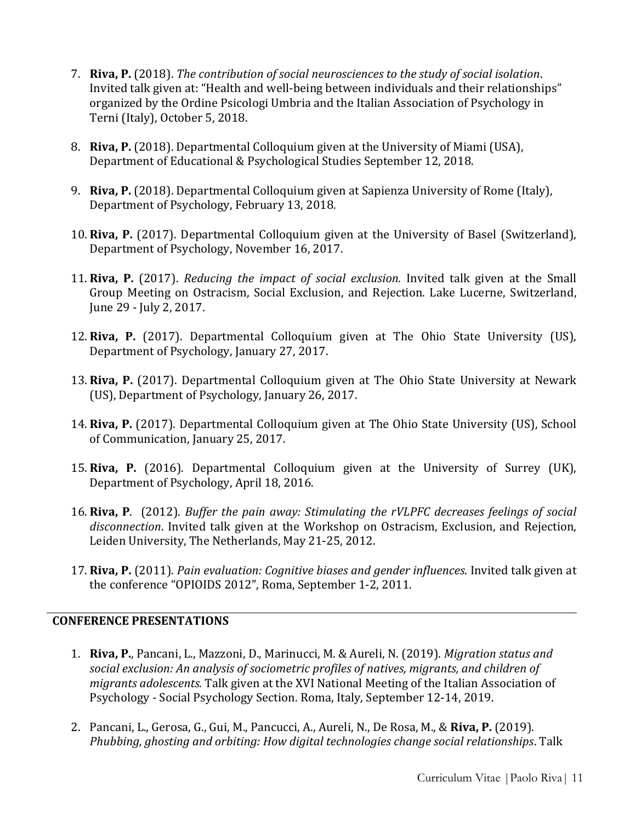- 7. **Riva, P.** (2018). *The contribution of social neurosciences to the study of social isolation*. Invited talk given at: "Health and well-being between individuals and their relationships" organized by the Ordine Psicologi Umbria and the Italian Association of Psychology in Terni (Italy), October 5, 2018.
- 8. **Riva, P.** (2018). Departmental Colloquium given at the University of Miami (USA), Department of Educational & Psychological Studies September 12, 2018.
- 9. **Riva, P.** (2018). Departmental Colloquium given at Sapienza University of Rome (Italy), Department of Psychology, February 13, 2018.
- 10. **Riva, P.** (2017). Departmental Colloquium given at the University of Basel (Switzerland), Department of Psychology, November 16, 2017.
- 11. **Riva, P.** (2017). *Reducing the impact of social exclusion.* Invited talk given at the Small Group Meeting on Ostracism, Social Exclusion, and Rejection. Lake Lucerne, Switzerland, June 29 - July 2, 2017.
- 12. **Riva, P.** (2017). Departmental Colloquium given at The Ohio State University (US), Department of Psychology, January 27, 2017.
- 13. **Riva, P.** (2017). Departmental Colloquium given at The Ohio State University at Newark (US), Department of Psychology, January 26, 2017.
- 14. **Riva, P.** (2017). Departmental Colloquium given at The Ohio State University (US), School of Communication, January 25, 2017.
- 15. **Riva, P.** (2016). Departmental Colloquium given at the University of Surrey (UK), Department of Psychology, April 18, 2016.
- 16. **Riva, P**. (2012). *Buffer the pain away: Stimulating the rVLPFC decreases feelings of social disconnection*. Invited talk given at the Workshop on Ostracism, Exclusion, and Rejection, Leiden University, The Netherlands, May 21-25, 2012.
- 17. **Riva, P.** (2011). *Pain evaluation: Cognitive biases and gender influences*. Invited talk given at the conference "OPIOIDS 2012", Roma, September 1-2, 2011.

#### **CONFERENCE PRESENTATIONS**

- 1. **Riva, P.**, Pancani, L., Mazzoni, D., Marinucci, M. & Aureli, N. (2019). *Migration status and social exclusion: An analysis of sociometric profiles of natives, migrants, and children of migrants adolescents.* Talk given at the XVI National Meeting of the Italian Association of Psychology - Social Psychology Section. Roma, Italy, September 12-14, 2019.
- 2. Pancani, L., Gerosa, G., Gui, M., Pancucci, A., Aureli, N., De Rosa, M., & **Riva, P.** (2019). *Phubbing, ghosting and orbiting: How digital technologies change social relationships*. Talk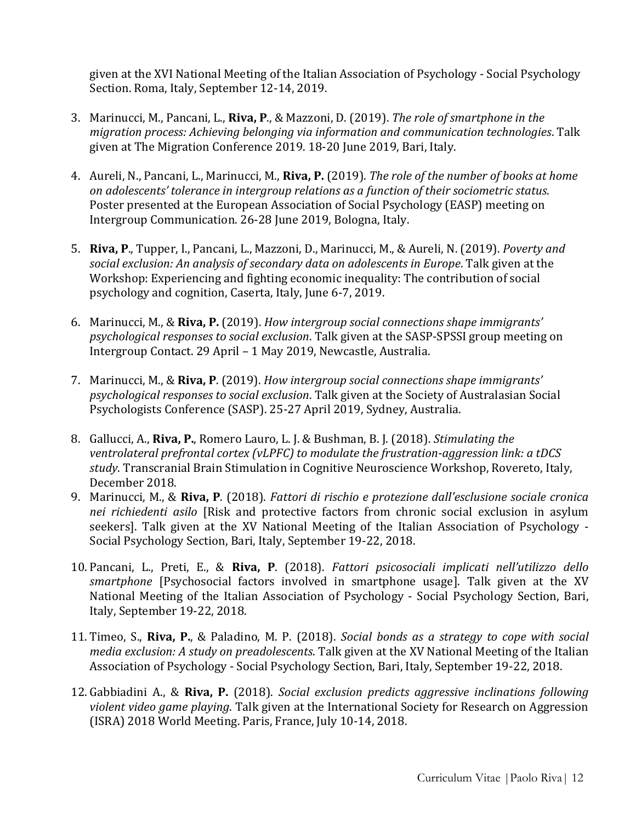given at the XVI National Meeting of the Italian Association of Psychology - Social Psychology Section. Roma, Italy, September 12-14, 2019.

- 3. Marinucci, M., Pancani, L., **Riva, P**., & Mazzoni, D. (2019). *The role of smartphone in the migration process: Achieving belonging via information and communication technologies*. Talk given at The Migration Conference 2019. 18-20 June 2019, Bari, Italy.
- 4. Aureli, N., Pancani, L., Marinucci, M., **Riva, P.** (2019). *The role of the number of books at home on adolescents' tolerance in intergroup relations as a function of their sociometric status*. Poster presented at the European Association of Social Psychology (EASP) meeting on Intergroup Communication. 26-28 June 2019, Bologna, Italy.
- 5. **Riva, P**., Tupper, I., Pancani, L., Mazzoni, D., Marinucci, M., & Aureli, N. (2019). *Poverty and social exclusion: An analysis of secondary data on adolescents in Europe*. Talk given at the Workshop: Experiencing and fighting economic inequality: The contribution of social psychology and cognition, Caserta, Italy, June 6-7, 2019.
- 6. Marinucci, M., & **Riva, P.** (2019). *How intergroup social connections shape immigrants' psychological responses to social exclusion*. Talk given at the SASP-SPSSI group meeting on Intergroup Contact. 29 April – 1 May 2019, Newcastle, Australia.
- 7. Marinucci, M., & **Riva, P**. (2019). *How intergroup social connections shape immigrants' psychological responses to social exclusion*. Talk given at the Society of Australasian Social Psychologists Conference (SASP). 25-27 April 2019, Sydney, Australia.
- 8. Gallucci, A., **Riva, P.**, Romero Lauro, L. J. & Bushman, B. J. (2018). *Stimulating the ventrolateral prefrontal cortex (vLPFC) to modulate the frustration-aggression link: a tDCS study*. Transcranial Brain Stimulation in Cognitive Neuroscience Workshop, Rovereto, Italy, December 2018.
- 9. Marinucci, M., & **Riva, P**. (2018). *Fattori di rischio e protezione dall'esclusione sociale cronica nei richiedenti asilo* [Risk and protective factors from chronic social exclusion in asylum seekers]. Talk given at the XV National Meeting of the Italian Association of Psychology - Social Psychology Section, Bari, Italy, September 19-22, 2018.
- 10. Pancani, L., Preti, E., & **Riva, P**. (2018). *Fattori psicosociali implicati nell'utilizzo dello smartphone* [Psychosocial factors involved in smartphone usage]. Talk given at the XV National Meeting of the Italian Association of Psychology - Social Psychology Section, Bari, Italy, September 19-22, 2018.
- 11. Timeo, S., **Riva, P.**, & Paladino, M. P. (2018). *[Social bonds as a strategy to cope with social](https://www.researchgate.net/publication/328216717_Timeo_S_Riva_P_Paladino_M_P_Social_bonds_as_a_strategy_to_cope_with_social_media_exclusion_a_study_on_preadolescents_Conference_of_the_Italian_Psychology_Association_AIP_Bari_IT?_iepl%5BviewId%5D=G1TfclILTTAChPx8gMWwfP3x&_iepl%5BsingleItemViewId%5D=HewlrsNKqLjUVoWKhUaAa6Cv&_iepl%5BpositionInFeed%5D=7&_iepl%5BhomeFeedVariantCode%5D=clst&_iepl%5BactivityId%5D=1026839120322574&_iepl%5BactivityType%5D=person_produce_publication_project&_iepl%5BactivityTimestamp%5D=1539258724&_iepl%5Bcontexts%5D%5B0%5D=homeFeed&_iepl%5BtargetEntityId%5D=PB%3A328216717&_iepl%5BinteractionType%5D=publicationTitle)  media exclusion: A study on preadolescents*. Talk given [at the XV National Meeting of the Italian](https://www.researchgate.net/publication/328216717_Timeo_S_Riva_P_Paladino_M_P_Social_bonds_as_a_strategy_to_cope_with_social_media_exclusion_a_study_on_preadolescents_Conference_of_the_Italian_Psychology_Association_AIP_Bari_IT?_iepl%5BviewId%5D=G1TfclILTTAChPx8gMWwfP3x&_iepl%5BsingleItemViewId%5D=HewlrsNKqLjUVoWKhUaAa6Cv&_iepl%5BpositionInFeed%5D=7&_iepl%5BhomeFeedVariantCode%5D=clst&_iepl%5BactivityId%5D=1026839120322574&_iepl%5BactivityType%5D=person_produce_publication_project&_iepl%5BactivityTimestamp%5D=1539258724&_iepl%5Bcontexts%5D%5B0%5D=homeFeed&_iepl%5BtargetEntityId%5D=PB%3A328216717&_iepl%5BinteractionType%5D=publicationTitle)  Association of Psychology - [Social Psychology Section, Bari, Italy, September 19-22, 2018.](https://www.researchgate.net/publication/328216717_Timeo_S_Riva_P_Paladino_M_P_Social_bonds_as_a_strategy_to_cope_with_social_media_exclusion_a_study_on_preadolescents_Conference_of_the_Italian_Psychology_Association_AIP_Bari_IT?_iepl%5BviewId%5D=G1TfclILTTAChPx8gMWwfP3x&_iepl%5BsingleItemViewId%5D=HewlrsNKqLjUVoWKhUaAa6Cv&_iepl%5BpositionInFeed%5D=7&_iepl%5BhomeFeedVariantCode%5D=clst&_iepl%5BactivityId%5D=1026839120322574&_iepl%5BactivityType%5D=person_produce_publication_project&_iepl%5BactivityTimestamp%5D=1539258724&_iepl%5Bcontexts%5D%5B0%5D=homeFeed&_iepl%5BtargetEntityId%5D=PB%3A328216717&_iepl%5BinteractionType%5D=publicationTitle)
- 12. Gabbiadini A., & **Riva, P.** (2018). *Social exclusion predicts aggressive inclinations following violent video game playing*. Talk given at the International Society for Research on Aggression (ISRA) 2018 World Meeting. Paris, France, July 10-14, 2018.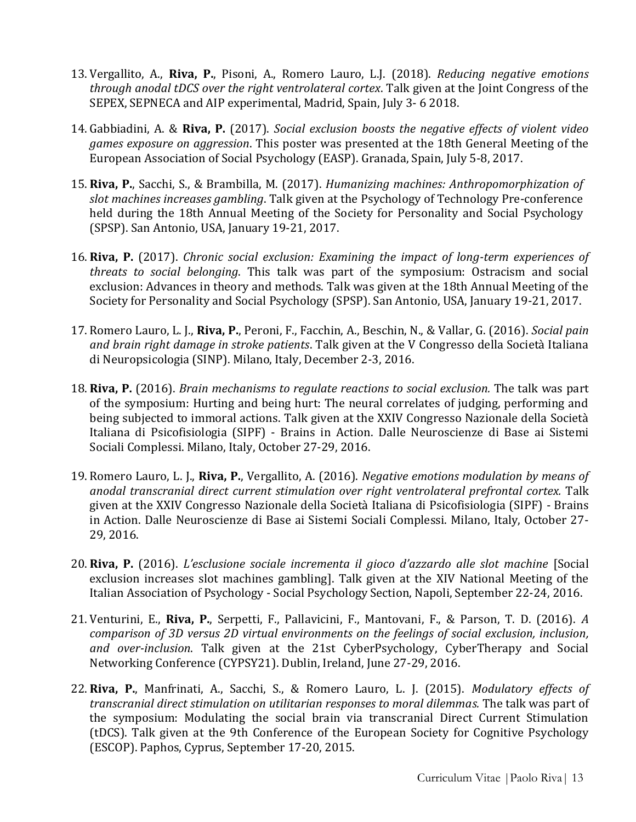- 13. Vergallito, A., **Riva, P.**, Pisoni, A., Romero Lauro, L.J. (2018). *Reducing negative emotions through anodal tDCS over the right ventrolateral cortex*. Talk given at the Joint Congress of the SEPEX, SEPNECA and AIP experimental, Madrid, Spain, July 3- 6 2018.
- 14. Gabbiadini, A. & **Riva, P.** (2017). *Social exclusion boosts the negative effects of violent video games exposure on aggression*. This poster was presented at the 18th General Meeting of the European Association of Social Psychology (EASP). Granada, Spain, July 5-8, 2017.
- 15. **Riva, P.**, Sacchi, S., & Brambilla, M. (2017). *Humanizing machines: Anthropomorphization of slot machines increases gambling*. Talk given at the Psychology of Technology Pre-conference held during the 18th Annual Meeting of the Society for Personality and Social Psychology (SPSP). San Antonio, USA, January 19-21, 2017.
- 16. **Riva, P.** (2017). *Chronic social exclusion: Examining the impact of long-term experiences of threats to social belonging*. This talk was part of the symposium: Ostracism and social exclusion: Advances in theory and methods. Talk was given at the 18th Annual Meeting of the Society for Personality and Social Psychology (SPSP). San Antonio, USA, January 19-21, 2017.
- 17. Romero Lauro, L. J., **Riva, P.**, Peroni, F., Facchin, A., Beschin, N., & Vallar, G. (2016). *Social pain and brain right damage in stroke patients*. Talk given at the V Congresso della Società Italiana di Neuropsicologia (SINP). Milano, Italy, December 2-3, 2016.
- 18. **Riva, P.** (2016). *Brain mechanisms to regulate reactions to social exclusion.* The talk was part of the symposium: Hurting and being hurt: The neural correlates of judging, performing and being subjected to immoral actions. Talk given at the XXIV Congresso Nazionale della Società Italiana di Psicofisiologia (SIPF) - Brains in Action. Dalle Neuroscienze di Base ai Sistemi Sociali Complessi. Milano, Italy, October 27-29, 2016.
- 19. Romero Lauro, L. J., **Riva, P.**, Vergallito, A. (2016). *Negative emotions modulation by means of anodal transcranial direct current stimulation over right ventrolateral prefrontal cortex.* Talk given at the XXIV Congresso Nazionale della Società Italiana di Psicofisiologia (SIPF) - Brains in Action. Dalle Neuroscienze di Base ai Sistemi Sociali Complessi. Milano, Italy, October 27- 29, 2016.
- 20. **Riva, P.** (2016). *L'esclusione sociale incrementa il gioco d'azzardo alle slot machine* [Social exclusion increases slot machines gambling]. Talk given at the XIV National Meeting of the Italian Association of Psychology - Social Psychology Section, Napoli, September 22-24, 2016.
- 21. Venturini, E., **Riva, P.**, Serpetti, F., Pallavicini, F., Mantovani, F., & Parson, T. D. (2016). *A comparison of 3D versus 2D virtual environments on the feelings of social exclusion, inclusion, and over-inclusion*. Talk given at the 21st CyberPsychology, CyberTherapy and Social Networking Conference (CYPSY21). Dublin, Ireland, June 27-29, 2016.
- 22. **Riva, P.**, Manfrinati, A., Sacchi, S., & Romero Lauro, L. J. (2015). *Modulatory effects of transcranial direct stimulation on utilitarian responses to moral dilemmas.* The talk was part of the symposium: Modulating the social brain via transcranial Direct Current Stimulation (tDCS). Talk given at the 9th Conference of the European Society for Cognitive Psychology (ESCOP). Paphos, Cyprus, September 17-20, 2015.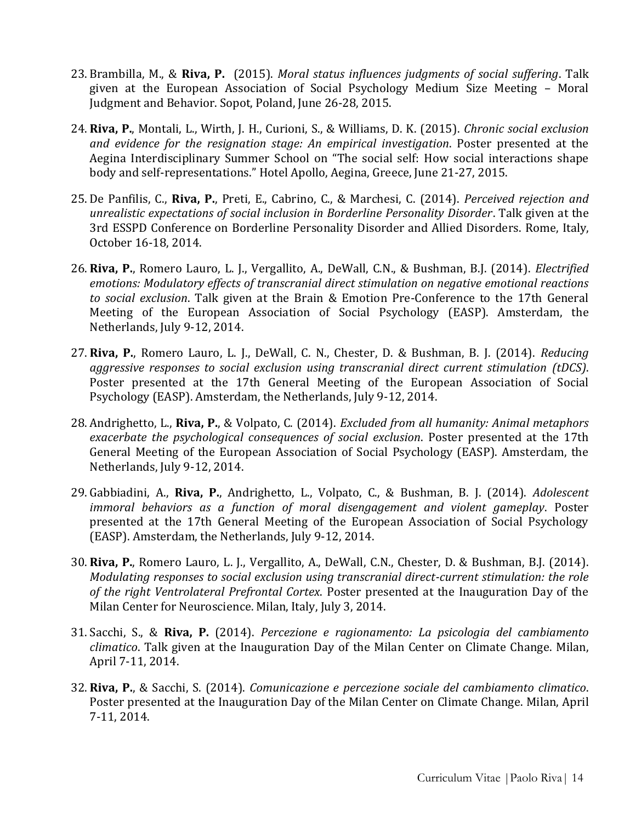- 23. Brambilla, M., & **Riva, P.** (2015). *Moral status influences judgments of social suffering*. Talk given at the European Association of Social Psychology Medium Size Meeting – Moral Judgment and Behavior. Sopot, Poland, June 26-28, 2015.
- 24. **Riva, P.**, Montali, L., Wirth, J. H., Curioni, S., & Williams, D. K. (2015). *Chronic social exclusion and evidence for the resignation stage: An empirical investigation*. Poster presented at the Aegina Interdisciplinary Summer School on "The social self: How social interactions shape body and self-representations." Hotel Apollo, Aegina, Greece, June 21-27, 2015.
- 25. De Panfilis, C., **Riva, P.**, Preti, E., Cabrino, C., & Marchesi, C. (2014). *Perceived rejection and unrealistic expectations of social inclusion in Borderline Personality Disorder*. Talk given at the 3rd ESSPD Conference on Borderline Personality Disorder and Allied Disorders. Rome, Italy, October 16-18, 2014.
- 26. **Riva, P.**, Romero Lauro, L. J., Vergallito, A., DeWall, C.N., & Bushman, B.J. (2014). *Electrified emotions: Modulatory effects of transcranial direct stimulation on negative emotional reactions to social exclusion*. Talk given at the Brain & Emotion Pre-Conference to the 17th General Meeting of the European Association of Social Psychology (EASP). Amsterdam, the Netherlands, July 9-12, 2014.
- 27. **Riva, P.**, Romero Lauro, L. J., DeWall, C. N., Chester, D. & Bushman, B. J. (2014). *Reducing aggressive responses to social exclusion using transcranial direct current stimulation (tDCS)*. Poster presented at the 17th General Meeting of the European Association of Social Psychology (EASP). Amsterdam, the Netherlands, July 9-12, 2014.
- 28. Andrighetto, L., **Riva, P.**, & Volpato, C. (2014). *Excluded from all humanity: Animal metaphors exacerbate the psychological consequences of social exclusion*. Poster presented at the 17th General Meeting of the European Association of Social Psychology (EASP). Amsterdam, the Netherlands, July 9-12, 2014.
- 29. Gabbiadini, A., **Riva, P.**, Andrighetto, L., Volpato, C., & Bushman, B. J. (2014). *Adolescent immoral behaviors as a function of moral disengagement and violent gameplay*. Poster presented at the 17th General Meeting of the European Association of Social Psychology (EASP). Amsterdam, the Netherlands, July 9-12, 2014.
- 30. **Riva, P.**, Romero Lauro, L. J., Vergallito, A., DeWall, C.N., Chester, D. & Bushman, B.J. (2014). *Modulating responses to social exclusion using transcranial direct-current stimulation: the role of the right Ventrolateral Prefrontal Cortex*. Poster presented at the Inauguration Day of the Milan Center for Neuroscience. Milan, Italy, July 3, 2014.
- 31. Sacchi, S., & **Riva, P.** (2014). *Percezione e ragionamento: La psicologia del cambiamento climatico*. Talk given at the Inauguration Day of the Milan Center on Climate Change. Milan, April 7-11, 2014.
- 32. **Riva, P.**, & Sacchi, S. (2014). *Comunicazione e percezione sociale del cambiamento climatico*. Poster presented at the Inauguration Day of the Milan Center on Climate Change. Milan, April 7-11, 2014.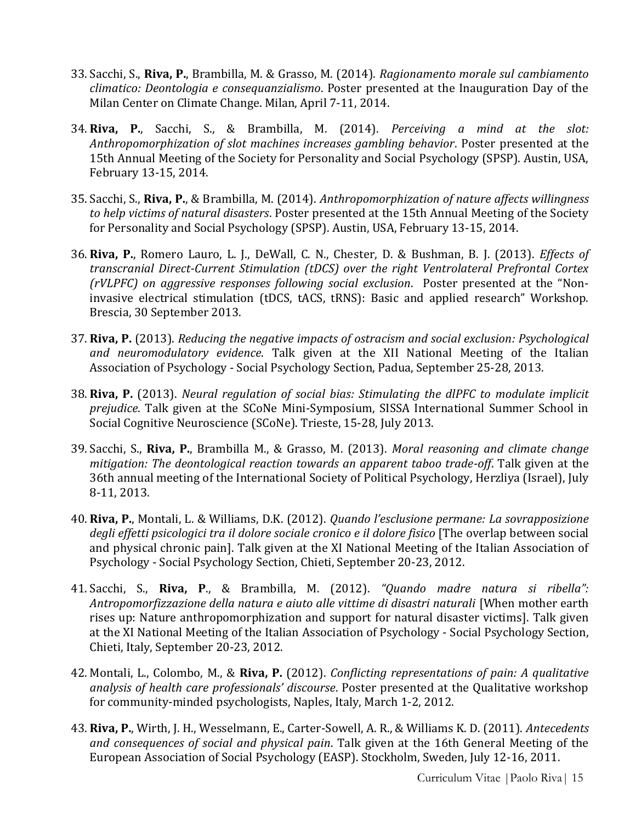- 33. Sacchi, S., **Riva, P.**, Brambilla, M. & Grasso, M. (2014). *Ragionamento morale sul cambiamento climatico: Deontologia e consequanzialismo*. Poster presented at the Inauguration Day of the Milan Center on Climate Change. Milan, April 7-11, 2014.
- 34. **Riva, P.**, Sacchi, S., & Brambilla, M. (2014). *Perceiving a mind at the slot: Anthropomorphization of slot machines increases gambling behavior*. Poster presented at the 15th Annual Meeting of the Society for Personality and Social Psychology (SPSP). Austin, USA, February 13-15, 2014.
- 35. Sacchi, S., **Riva, P.**, & Brambilla, M. (2014). *Anthropomorphization of nature affects willingness to help victims of natural disasters*. Poster presented at the 15th Annual Meeting of the Society for Personality and Social Psychology (SPSP). Austin, USA, February 13-15, 2014.
- 36. **Riva, P.**, Romero Lauro, L. J., DeWall, C. N., Chester, D. & Bushman, B. J. (2013). *Effects of transcranial Direct-Current Stimulation (tDCS) over the right Ventrolateral Prefrontal Cortex (rVLPFC) on aggressive responses following social exclusion*. Poster presented at the "Noninvasive electrical stimulation (tDCS, tACS, tRNS): Basic and applied research" Workshop. Brescia, 30 September 2013.
- 37. **Riva, P.** (2013). *Reducing the negative impacts of ostracism and social exclusion: Psychological and neuromodulatory evidence*. Talk given at the XII National Meeting of the Italian Association of Psychology - Social Psychology Section, Padua, September 25-28, 2013.
- 38. **Riva, P.** (2013). *Neural regulation of social bias: Stimulating the dlPFC to modulate implicit prejudice*. Talk given at the SCoNe Mini-Symposium, SISSA International Summer School in Social Cognitive Neuroscience (SCoNe). Trieste, 15-28, July 2013.
- 39. Sacchi, S., **Riva, P.**, Brambilla M., & Grasso, M. (2013). *Moral reasoning and climate change mitigation: The deontological reaction towards an apparent taboo trade-off*. Talk given at the 36th annual meeting of the International Society of Political Psychology, Herzliya (Israel), July 8-11, 2013.
- 40. **Riva, P.**, Montali, L. & Williams, D.K. (2012). *Quando l'esclusione permane: La sovrapposizione degli effetti psicologici tra il dolore sociale cronico e il dolore fisico* [The overlap between social and physical chronic pain]. Talk given at the XI National Meeting of the Italian Association of Psychology - Social Psychology Section, Chieti, September 20-23, 2012.
- 41. Sacchi, S., **Riva, P**., & Brambilla, M. (2012). *"Quando madre natura si ribella": Antropomorfizzazione della natura e aiuto alle vittime di disastri naturali* [When mother earth rises up: Nature anthropomorphization and support for natural disaster victims]. Talk given at the XI National Meeting of the Italian Association of Psychology - Social Psychology Section, Chieti, Italy, September 20-23, 2012.
- 42. Montali, L., Colombo, M., & **Riva, P.** (2012). *Conflicting representations of pain: A qualitative analysis of health care professionals' discourse*. Poster presented at the Qualitative workshop for community-minded psychologists, Naples, Italy, March 1-2, 2012.
- 43. **Riva, P.**, Wirth, J. H., Wesselmann, E., Carter-Sowell, A. R., & Williams K. D. (2011). *Antecedents and consequences of social and physical pain*. Talk given at the 16th General Meeting of the European Association of Social Psychology (EASP). Stockholm, Sweden, July 12-16, 2011.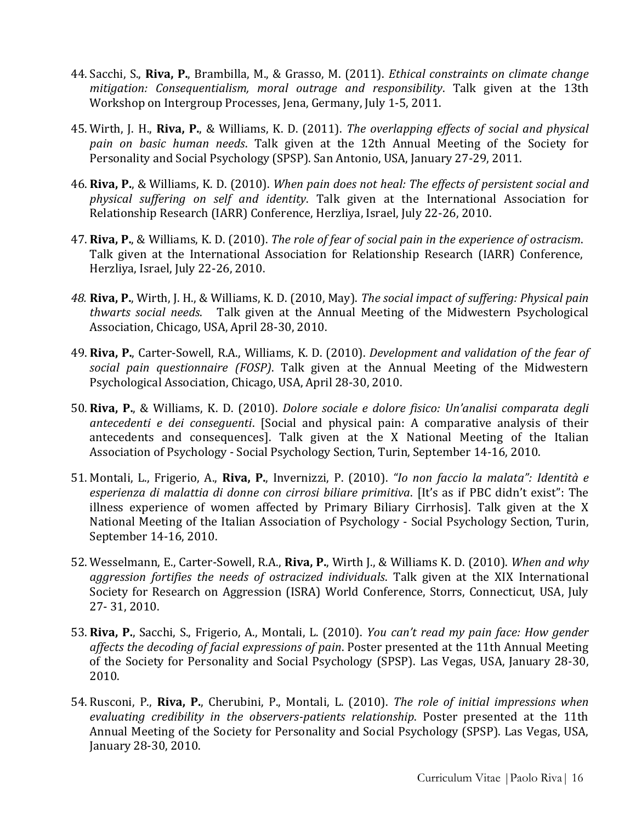- 44. Sacchi, S., **Riva, P.**, Brambilla, M., & Grasso, M. (2011). *Ethical constraints on climate change mitigation: Consequentialism, moral outrage and responsibility*. Talk given at the 13th Workshop on Intergroup Processes, Jena, Germany, July 1-5, 2011.
- 45. Wirth, J. H., **Riva, P.**, & Williams, K. D. (2011). *The overlapping effects of social and physical pain on basic human needs*. Talk given at the 12th Annual Meeting of the Society for Personality and Social Psychology (SPSP). San Antonio, USA, January 27-29, 2011.
- 46. **Riva, P.**, & Williams, K. D. (2010). *When pain does not heal: The effects of persistent social and physical suffering on self and identity*. Talk given at the International Association for Relationship Research (IARR) Conference, Herzliya, Israel, July 22-26, 2010.
- 47. **Riva, P.**, & Williams, K. D. (2010). *The role of fear of social pain in the experience of ostracism*. Talk given at the International Association for Relationship Research (IARR) Conference, Herzliya, Israel, July 22-26, 2010.
- *48.* **Riva, P.**, Wirth, J. H., & Williams, K. D. (2010, May). *The social impact of suffering: Physical pain thwarts social needs*. Talk given at the Annual Meeting of the Midwestern Psychological Association, Chicago, USA, April 28-30, 2010.
- 49. **Riva, P.**, Carter-Sowell, R.A., Williams, K. D. (2010). *Development and validation of the fear of social pain questionnaire (FOSP)*. Talk given at the Annual Meeting of the Midwestern Psychological Association, Chicago, USA, April 28-30, 2010.
- 50. **Riva, P.**, & Williams, K. D. (2010). *Dolore sociale e dolore fisico: Un'analisi comparata degli antecedenti e dei conseguenti*. [Social and physical pain: A comparative analysis of their antecedents and consequences]. Talk given at the X National Meeting of the Italian Association of Psychology - Social Psychology Section, Turin, September 14-16, 2010.
- 51. Montali, L., Frigerio, A., **Riva, P.**, Invernizzi, P. (2010). *"Io non faccio la malata": Identità e esperienza di malattia di donne con cirrosi biliare primitiva*. [It's as if PBC didn't exist": The illness experience of women affected by Primary Biliary Cirrhosis]. Talk given at the X National Meeting of the Italian Association of Psychology - Social Psychology Section, Turin, September 14-16, 2010.
- 52. Wesselmann, E., Carter-Sowell, R.A., **Riva, P.**, Wirth J., & Williams K. D. (2010). *When and why aggression fortifies the needs of ostracized individuals*. Talk given at the XIX International Society for Research on Aggression (ISRA) World Conference, Storrs, Connecticut, USA, July 27- 31, 2010.
- 53. **Riva, P.**, Sacchi, S., Frigerio, A., Montali, L. (2010). *You can't read my pain face: How gender affects the decoding of facial expressions of pain*. Poster presented at the 11th Annual Meeting of the Society for Personality and Social Psychology (SPSP). Las Vegas, USA, January 28-30, 2010.
- 54. Rusconi, P., **Riva, P.**, Cherubini, P., Montali, L. (2010). *The role of initial impressions when evaluating credibility in the observers-patients relationship*. Poster presented at the 11th Annual Meeting of the Society for Personality and Social Psychology (SPSP). Las Vegas, USA, January 28-30, 2010.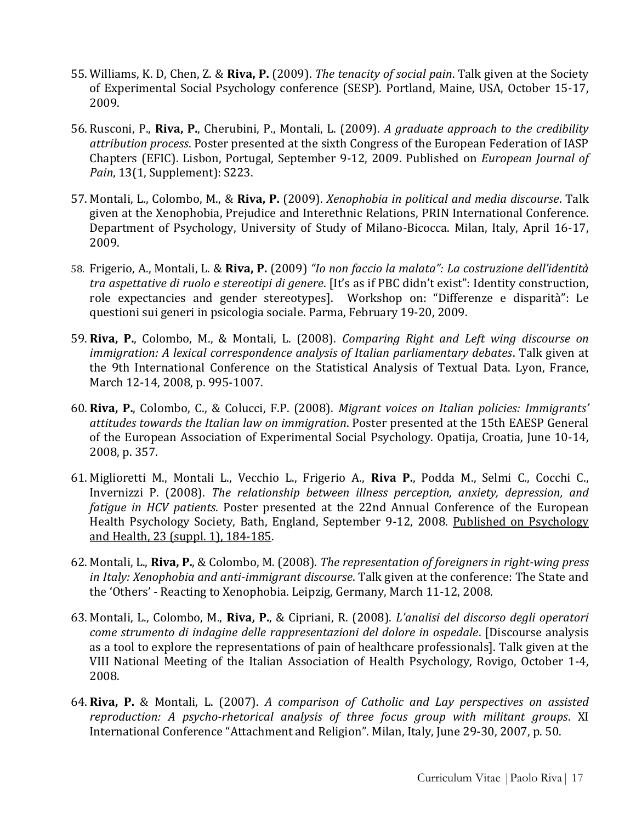- 55. Williams, K. D, Chen, Z. & **Riva, P.** (2009). *The tenacity of social pain*. Talk given at the Society of Experimental Social Psychology conference (SESP). Portland, Maine, USA, October 15-17, 2009.
- 56. Rusconi, P., **Riva, P.**, Cherubini, P., Montali, L. (2009). *A graduate approach to the credibility attribution process*. Poster presented at the sixth Congress of the European Federation of IASP Chapters (EFIC). Lisbon, Portugal, September 9-12, 2009. Published on *European Journal of Pain*, 13(1, Supplement): S223.
- 57. Montali, L., Colombo, M., & **Riva, P.** (2009). *Xenophobia in political and media discourse*. Talk given at the Xenophobia, Prejudice and Interethnic Relations, PRIN International Conference. Department of Psychology, University of Study of Milano-Bicocca. Milan, Italy, April 16-17, 2009.
- 58. Frigerio, A., Montali, L. & **Riva, P.** (2009) *"Io non faccio la malata": La costruzione dell'identità tra aspettative di ruolo e stereotipi di genere*. [It's as if PBC didn't exist": Identity construction, role expectancies and gender stereotypes]. Workshop on: "Differenze e disparità": Le questioni sui generi in psicologia sociale. Parma, February 19-20, 2009.
- 59. **Riva, P.**, Colombo, M., & Montali, L. (2008). *Comparing Right and Left wing discourse on immigration: A lexical correspondence analysis of Italian parliamentary debates*. Talk given at the 9th International Conference on the Statistical Analysis of Textual Data. Lyon, France, March 12-14, 2008, p. 995-1007.
- 60. **Riva, P.**, Colombo, C., & Colucci, F.P. (2008). *Migrant voices on Italian policies: Immigrants' attitudes towards the Italian law on immigration*. Poster presented at the 15th EAESP General of the European Association of Experimental Social Psychology. Opatija, Croatia, June 10-14, 2008, p. 357.
- 61. Miglioretti M., Montali L., Vecchio L., Frigerio A., **Riva P.**, Podda M., Selmi C., Cocchi C., Invernizzi P. (2008). *The relationship between illness perception, anxiety, depression, and fatigue in HCV patients*. Poster presented at the 22nd Annual Conference of the European Health Psychology Society, Bath, England, September 9-12, 2008. Published on Psychology and Health, 23 (suppl. 1), 184-185.
- 62. Montali, L., **Riva, P.**, & Colombo, M. (2008). *The representation of foreigners in right-wing press in Italy: Xenophobia and anti-immigrant discourse*. Talk given at the conference: The State and the 'Others' - Reacting to Xenophobia. Leipzig, Germany, March 11-12, 2008.
- 63. Montali, L., Colombo, M., **Riva, P.**, & Cipriani, R. (2008). *L'analisi del discorso degli operatori come strumento di indagine delle rappresentazioni del dolore in ospedale*. [Discourse analysis as a tool to explore the representations of pain of healthcare professionals]. Talk given at the VIII National Meeting of the Italian Association of Health Psychology, Rovigo, October 1-4, 2008.
- 64. **Riva, P.** & Montali, L. (2007). *A comparison of Catholic and Lay perspectives on assisted reproduction: A psycho-rhetorical analysis of three focus group with militant groups*. XI International Conference "Attachment and Religion". Milan, Italy, June 29-30, 2007, p. 50.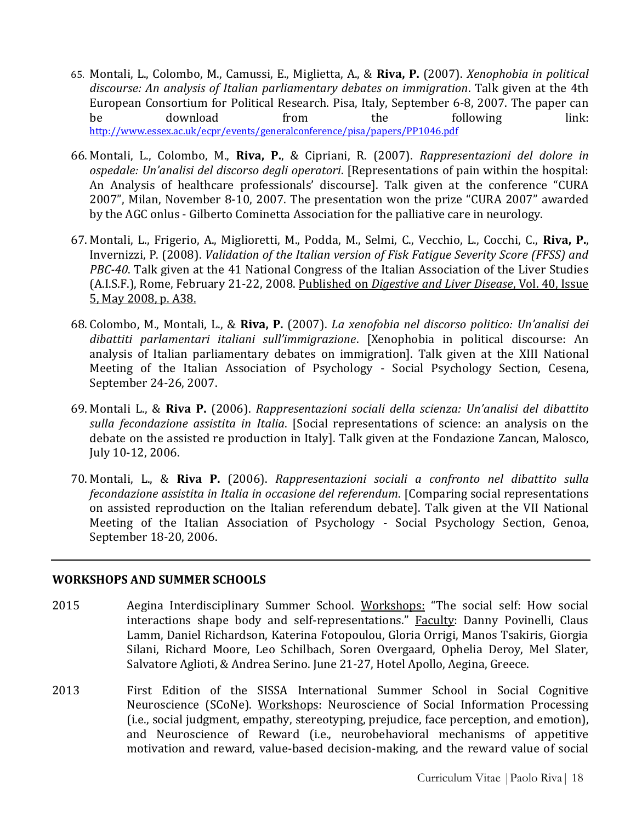- 65. Montali, L., Colombo, M., Camussi, E., Miglietta, A., & **Riva, P.** (2007). *Xenophobia in political discourse: An analysis of Italian parliamentary debates on immigration*. Talk given at the 4th European Consortium for Political Research. Pisa, Italy, September 6-8, 2007. The paper can be download from the following link: <http://www.essex.ac.uk/ecpr/events/generalconference/pisa/papers/PP1046.pdf>
- 66. Montali, L., Colombo, M., **Riva, P.**, & Cipriani, R. (2007). *Rappresentazioni del dolore in ospedale: Un'analisi del discorso degli operatori*. [Representations of pain within the hospital: An Analysis of healthcare professionals' discourse]. Talk given at the conference "CURA 2007", Milan, November 8-10, 2007. The presentation won the prize "CURA 2007" awarded by the AGC onlus - Gilberto Cominetta Association for the palliative care in neurology.
- 67. Montali, L., Frigerio, A., Miglioretti, M., Podda, M., Selmi, C., Vecchio, L., Cocchi, C., **Riva, P.**, Invernizzi, P. (2008). *Validation of the Italian version of Fisk Fatigue Severity Score (FFSS) and PBC-40*. Talk given at the 41 National Congress of the Italian Association of the Liver Studies (A.I.S.F.), Rome, February 21-22, 2008. Published on *Digestive and Liver Disease*, Vol. 40, Issue 5, May 2008, p. A38.
- 68. Colombo, M., Montali, L., & **Riva, P.** (2007). *La xenofobia nel discorso politico: Un'analisi dei dibattiti parlamentari italiani sull'immigrazione*. [Xenophobia in political discourse: An analysis of Italian parliamentary debates on immigration]. Talk given at the XIII National Meeting of the Italian Association of Psychology - Social Psychology Section, Cesena, September 24-26, 2007.
- 69. Montali L., & **Riva P.** (2006). *Rappresentazioni sociali della scienza: Un'analisi del dibattito sulla fecondazione assistita in Italia*. [Social representations of science: an analysis on the debate on the assisted re production in Italy]. Talk given at the Fondazione Zancan, Malosco, July 10-12, 2006.
- 70. Montali, L., & **Riva P.** (2006). *Rappresentazioni sociali a confronto nel dibattito sulla fecondazione assistita in Italia in occasione del referendum*. [Comparing social representations on assisted reproduction on the Italian referendum debate]. Talk given at the VII National Meeting of the Italian Association of Psychology - Social Psychology Section, Genoa, September 18-20, 2006.

#### **WORKSHOPS AND SUMMER SCHOOLS**

- 2015 Aegina Interdisciplinary Summer School. Workshops: "The social self: How social interactions shape body and self-representations." Faculty: Danny Povinelli, Claus Lamm, Daniel Richardson, Katerina Fotopoulou, Gloria Orrigi, Manos Tsakiris, Giorgia Silani, Richard Moore, Leo Schilbach, Soren Overgaard, Ophelia Deroy, Mel Slater, Salvatore Aglioti, & Andrea Serino. June 21-27, Hotel Apollo, Aegina, Greece.
- 2013 First Edition of the SISSA International Summer School in Social Cognitive Neuroscience (SCoNe). Workshops: Neuroscience of Social Information Processing (i.e., social judgment, empathy, stereotyping, prejudice, face perception, and emotion), and Neuroscience of Reward (i.e., neurobehavioral mechanisms of appetitive motivation and reward, value-based decision-making, and the reward value of social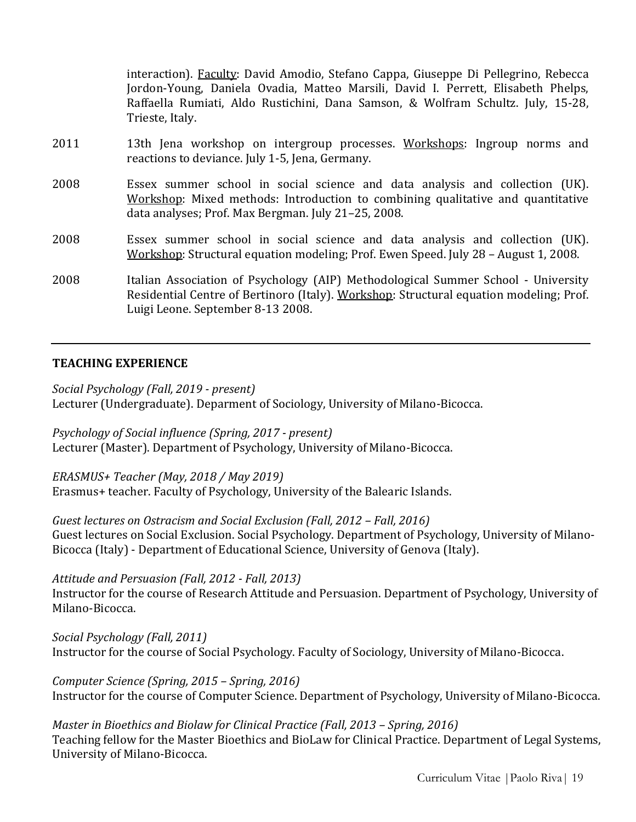interaction). Faculty: David Amodio, Stefano Cappa, Giuseppe Di Pellegrino, Rebecca Jordon-Young, Daniela Ovadia, Matteo Marsili, David I. Perrett, Elisabeth Phelps, Raffaella Rumiati, Aldo Rustichini, Dana Samson, & Wolfram Schultz. July, 15-28, Trieste, Italy.

- 2011 13th Jena workshop on intergroup processes. Workshops: Ingroup norms and reactions to deviance. July 1-5, Jena, Germany.
- 2008 Essex summer school in social science and data analysis and collection (UK). Workshop: Mixed methods: Introduction to combining qualitative and quantitative data analyses; Prof. Max Bergman. July 21–25, 2008.
- 2008 Essex summer school in social science and data analysis and collection (UK). Workshop: Structural equation modeling; Prof. Ewen Speed. July 28 – August 1, 2008.
- 2008 Italian Association of Psychology (AIP) Methodological Summer School University Residential Centre of Bertinoro (Italy). Workshop: Structural equation modeling; Prof. Luigi Leone. September 8-13 2008.

#### **TEACHING EXPERIENCE**

*Social Psychology (Fall, 2019 - present)* 

Lecturer (Undergraduate). Deparment of Sociology, University of Milano-Bicocca.

*Psychology of Social influence (Spring, 2017 - present)* Lecturer (Master). Department of Psychology, University of Milano-Bicocca.

*ERASMUS+ Teacher (May, 2018 / May 2019)* Erasmus+ teacher. Faculty of Psychology, University of the Balearic Islands.

*Guest lectures on Ostracism and Social Exclusion (Fall, 2012 – Fall, 2016)* Guest lectures on Social Exclusion. Social Psychology. Department of Psychology, University of Milano-Bicocca (Italy) - Department of Educational Science, University of Genova (Italy).

#### *Attitude and Persuasion (Fall, 2012 - Fall, 2013)*

Instructor for the course of Research Attitude and Persuasion. Department of Psychology, University of Milano-Bicocca.

*Social Psychology (Fall, 2011)*  Instructor for the course of Social Psychology. Faculty of Sociology, University of Milano-Bicocca.

*Computer Science (Spring, 2015 – Spring, 2016)*  Instructor for the course of Computer Science. Department of Psychology, University of Milano-Bicocca.

*Master in Bioethics and Biolaw for Clinical Practice (Fall, 2013 - Spring, 2016)* Teaching fellow for the Master Bioethics and BioLaw for Clinical Practice. Department of Legal Systems, University of Milano-Bicocca.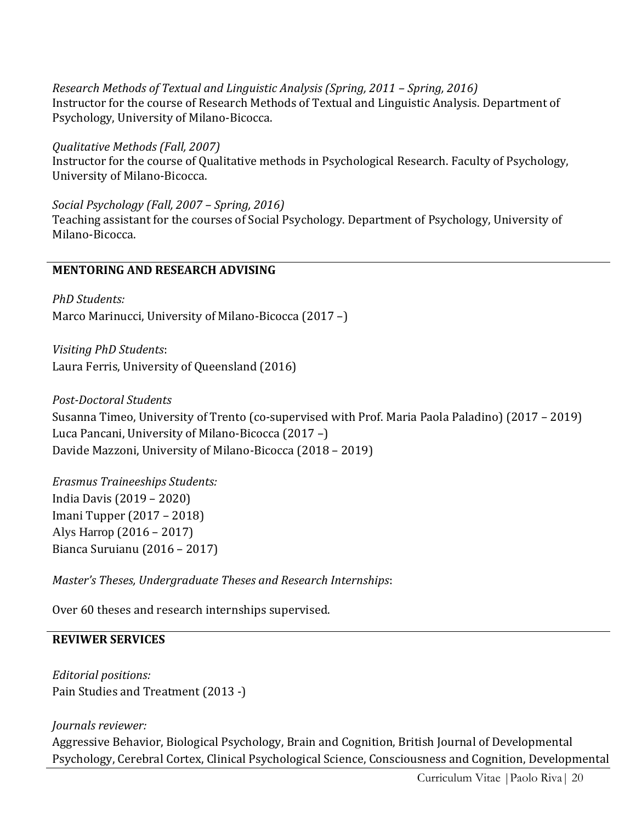*Research Methods of Textual and Linguistic Analysis (Spring, 2011 – Spring, 2016)*  Instructor for the course of Research Methods of Textual and Linguistic Analysis. Department of Psychology, University of Milano-Bicocca.

*Qualitative Methods (Fall, 2007)* Instructor for the course of Qualitative methods in Psychological Research. Faculty of Psychology, University of Milano-Bicocca.

*Social Psychology (Fall, 2007 – Spring, 2016)* Teaching assistant for the courses of Social Psychology. Department of Psychology, University of Milano-Bicocca.

# **MENTORING AND RESEARCH ADVISING**

*PhD Students:* Marco Marinucci, University of Milano-Bicocca (2017 –)

*Visiting PhD Students*: Laura Ferris, University of Queensland (2016)

*Post-Doctoral Students* Susanna Timeo, University of Trento (co-supervised with Prof. Maria Paola Paladino) (2017 – 2019) Luca Pancani, University of Milano-Bicocca (2017 –) Davide Mazzoni, University of Milano-Bicocca (2018 – 2019)

*Erasmus Traineeships Students:* India Davis (2019 – 2020) Imani Tupper (2017 – 2018) Alys Harrop (2016 – 2017) Bianca Suruianu (2016 – 2017)

*Master's Theses, Undergraduate Theses and Research Internships*:

Over 60 theses and research internships supervised.

#### **REVIWER SERVICES**

*Editorial positions:* Pain Studies and Treatment (2013 -)

#### *Journals reviewer:*

Aggressive Behavior, Biological Psychology, Brain and Cognition, British Journal of Developmental Psychology, Cerebral Cortex, Clinical Psychological Science, Consciousness and Cognition, Developmental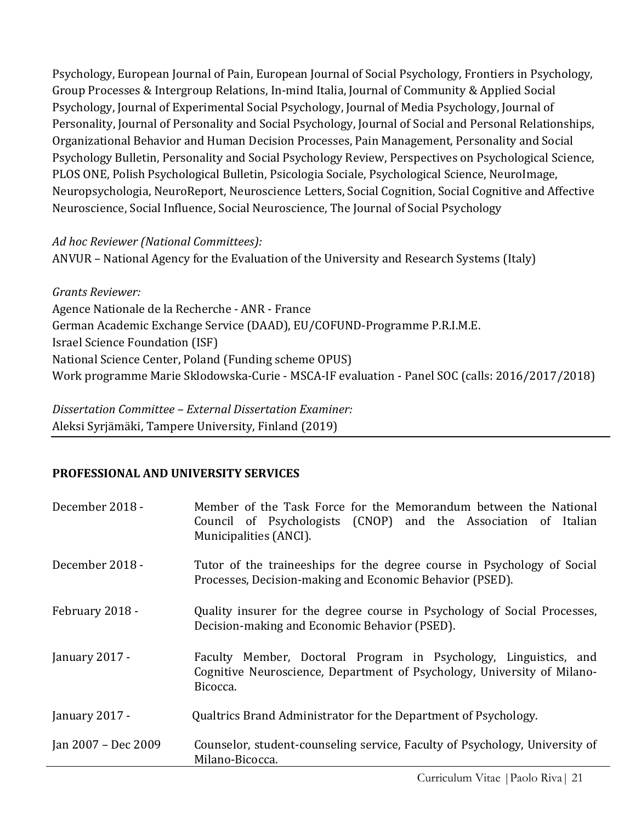Psychology, European Journal of Pain, European Journal of Social Psychology, Frontiers in Psychology, Group Processes & Intergroup Relations, In-mind Italia, Journal of Community & Applied Social Psychology, Journal of Experimental Social Psychology, Journal of Media Psychology, Journal of Personality, Journal of Personality and Social Psychology, Journal of Social and Personal Relationships, Organizational Behavior and Human Decision Processes, Pain Management, Personality and Social Psychology Bulletin, Personality and Social Psychology Review, Perspectives on Psychological Science, PLOS ONE, Polish Psychological Bulletin, Psicologia Sociale, Psychological Science, NeuroImage, Neuropsychologia, NeuroReport, Neuroscience Letters, Social Cognition, Social Cognitive and Affective Neuroscience, Social Influence, Social Neuroscience, The Journal of Social Psychology

# *Ad hoc Reviewer (National Committees):*

ANVUR – National Agency for the Evaluation of the University and Research Systems (Italy)

*Grants Reviewer:* Agence Nationale de la Recherche - ANR - France German Academic Exchange Service (DAAD), EU/COFUND-Programme P.R.I.M.E. Israel Science Foundation (ISF) National Science Center, Poland (Funding scheme OPUS) Work programme Marie Sklodowska-Curie - MSCA-IF evaluation - Panel SOC (calls: 2016/2017/2018)

*Dissertation Committee – External Dissertation Examiner:* Aleksi Syrjämäki, Tampere University, Finland (2019)

# **PROFESSIONAL AND UNIVERSITY SERVICES**

| December 2018 -     | Member of the Task Force for the Memorandum between the National<br>Council of Psychologists (CNOP) and the Association of Italian<br>Municipalities (ANCI). |
|---------------------|--------------------------------------------------------------------------------------------------------------------------------------------------------------|
| December 2018 -     | Tutor of the traineeships for the degree course in Psychology of Social<br>Processes, Decision-making and Economic Behavior (PSED).                          |
| February 2018 -     | Quality insurer for the degree course in Psychology of Social Processes,<br>Decision-making and Economic Behavior (PSED).                                    |
| January 2017 -      | Faculty Member, Doctoral Program in Psychology, Linguistics, and<br>Cognitive Neuroscience, Department of Psychology, University of Milano-<br>Bicocca.      |
| January 2017 -      | Qualtrics Brand Administrator for the Department of Psychology.                                                                                              |
| Jan 2007 - Dec 2009 | Counselor, student-counseling service, Faculty of Psychology, University of<br>Milano-Bicocca.                                                               |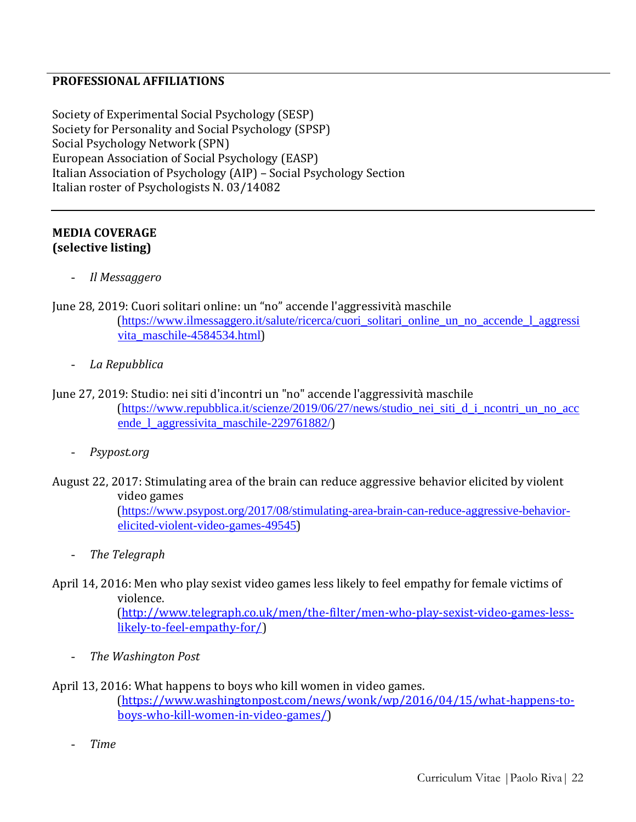#### **PROFESSIONAL AFFILIATIONS**

Society of Experimental Social Psychology (SESP) Society for Personality and Social Psychology (SPSP) Social Psychology Network (SPN) European Association of Social Psychology (EASP) Italian Association of Psychology (AIP) – Social Psychology Section Italian roster of Psychologists N. 03/14082

#### **MEDIA COVERAGE (selective listing)**

- *Il Messaggero*

June 28, 2019: Cuori solitari online: un "no" accende l'aggressività maschile

([https://www.ilmessaggero.it/salute/ricerca/cuori\\_solitari\\_online\\_un\\_no\\_accende\\_l\\_aggressi](https://www.ilmessaggero.it/salute/ricerca/cuori_solitari_online_un_no_accende_l_aggressivita_maschile-4584534.html) [vita\\_maschile-4584534.html](https://www.ilmessaggero.it/salute/ricerca/cuori_solitari_online_un_no_accende_l_aggressivita_maschile-4584534.html))

- *La Repubblica*
- June 27, 2019: Studio: nei siti d'incontri un "no" accende l'aggressività maschile ([https://www.repubblica.it/scienze/2019/06/27/news/studio\\_nei\\_siti\\_d\\_i\\_ncontri\\_un\\_no\\_acc](https://www.repubblica.it/scienze/2019/06/27/news/studio_nei_siti_d_i_ncontri_un_no_accende_l_aggressivita_maschile-229761882/) [ende\\_l\\_aggressivita\\_maschile-229761882/](https://www.repubblica.it/scienze/2019/06/27/news/studio_nei_siti_d_i_ncontri_un_no_accende_l_aggressivita_maschile-229761882/))
	- *Psypost.org*
- August 22, 2017: Stimulating area of the brain can reduce aggressive behavior elicited by violent video games

([https://www.psypost.org/2017/08/stimulating-area-brain-can-reduce-aggressive-behavior](https://www.psypost.org/2017/08/stimulating-area-brain-can-reduce-aggressive-behavior-elicited-violent-video-games-49545)[elicited-violent-video-games-49545](https://www.psypost.org/2017/08/stimulating-area-brain-can-reduce-aggressive-behavior-elicited-violent-video-games-49545))

- *The Telegraph*
- April 14, 2016: Men who play sexist video games less likely to feel empathy for female victims of violence.

[\(http://www.telegraph.co.uk/men/the-filter/men-who-play-sexist-video-games-less](http://www.telegraph.co.uk/men/the-filter/men-who-play-sexist-video-games-less-likely-to-feel-empathy-for/)[likely-to-feel-empathy-for/\)](http://www.telegraph.co.uk/men/the-filter/men-who-play-sexist-video-games-less-likely-to-feel-empathy-for/)

- *The Washington Post*
- April 13, 2016: What happens to boys who kill women in video games.

(https://www.washingtonpost.com/news/wonk/wp/2016/04/15/what-happens-toboys-who-kill-women-in-video-games/)

- *Time*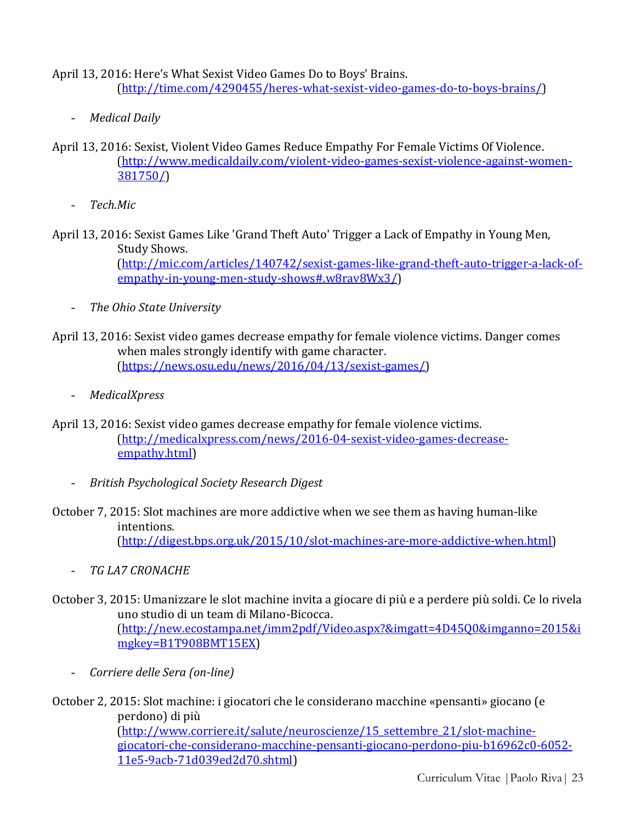April 13, 2016: Here's What Sexist Video Games Do to Boys' Brains. (http://time.com/4290455/heres-what-sexist-video-games-do-to-boys-brains/)

- *Medical Daily*
- April 13, 2016: Sexist, Violent Video Games Reduce Empathy For Female Victims Of Violence. (http://www.medicaldaily.com/violent-video-games-sexist-violence-against-women-381750/)
	- *Tech.Mic*
- April 13, 2016: Sexist Games Like 'Grand Theft Auto' Trigger a Lack of Empathy in Young Men, Study Shows. (http://mic.com/articles/140742/sexist-games-like-grand-theft-auto-trigger-a-lack-ofempathy-in-young-men-study-shows#.w8rav8Wx3/)
	- *The Ohio State University*
- April 13, 2016: Sexist video games decrease empathy for female violence victims. Danger comes when males strongly identify with game character. (https://news.osu.edu/news/2016/04/13/sexist-games/)
	- *MedicalXpress*
- April 13, 2016: Sexist video games decrease empathy for female violence victims. (http://medicalxpress.com/news/2016-04-sexist-video-games-decreaseempathy.html)
	- *British Psychological Society Research Digest*
- October 7, 2015: Slot machines are more addictive when we see them as having human-like intentions. (http://digest.bps.org.uk/2015/10/slot-machines-are-more-addictive-when.html)
	- *TG LA7 CRONACHE*
- October 3, 2015: Umanizzare le slot machine invita a giocare di più e a perdere più soldi. Ce lo rivela uno studio di un team di Milano-Bicocca. (http://new.ecostampa.net/imm2pdf/Video.aspx?&imgatt=4D45Q0&imganno=2015&i mgkey=B1T908BMT15EX)
	- *Corriere delle Sera (on-line)*
- October 2, 2015: Slot machine: i giocatori che le considerano macchine «pensanti» giocano (e perdono) di più (http://www.corriere.it/salute/neuroscienze/15\_settembre\_21/slot-machinegiocatori-che-considerano-macchine-pensanti-giocano-perdono-piu-b16962c0-6052- 11e5-9acb-71d039ed2d70.shtml)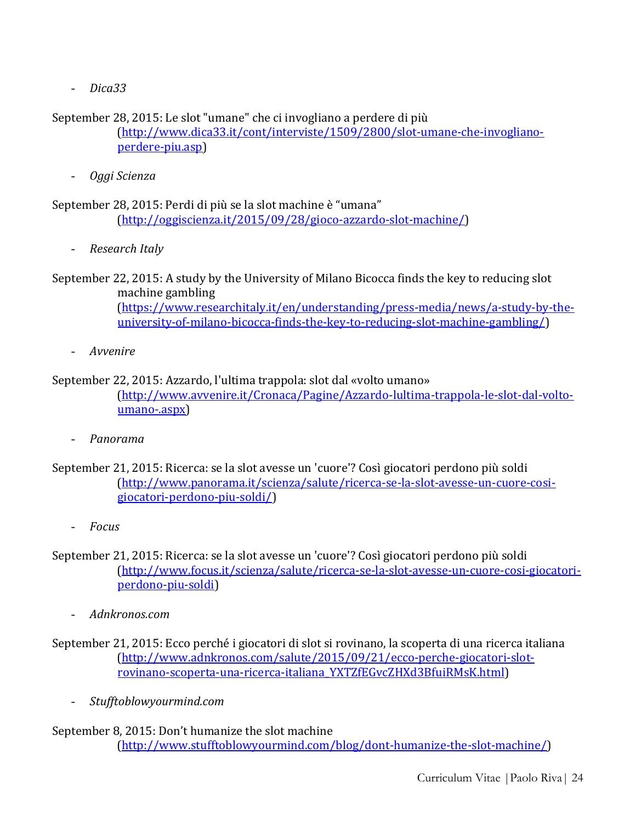- *Dica33*

September 28, 2015: Le slot "umane" che ci invogliano a perdere di più

(http://www.dica33.it/cont/interviste/1509/2800/slot-umane-che-invoglianoperdere-piu.asp)

- *Oggi Scienza*

September 28, 2015: Perdi di più se la slot machine è "umana" (http://oggiscienza.it/2015/09/28/gioco-azzardo-slot-machine/)

- *Research Italy*

September 22, 2015: A study by the University of Milano Bicocca finds the key to reducing slot machine gambling (https://www.researchitaly.it/en/understanding/press-media/news/a-study-by-theuniversity-of-milano-bicocca-finds-the-key-to-reducing-slot-machine-gambling/)

- *Avvenire*

# September 22, 2015: Azzardo, l'ultima trappola: slot dal «volto umano» (http://www.avvenire.it/Cronaca/Pagine/Azzardo-lultima-trappola-le-slot-dal-voltoumano-.aspx)

- *Panorama*
- September 21, 2015: Ricerca: se la slot avesse un 'cuore'? Così giocatori perdono più soldi (http://www.panorama.it/scienza/salute/ricerca-se-la-slot-avesse-un-cuore-cosigiocatori-perdono-piu-soldi/)
	- *Focus*
- September 21, 2015: Ricerca: se la slot avesse un 'cuore'? Così giocatori perdono più soldi (http://www.focus.it/scienza/salute/ricerca-se-la-slot-avesse-un-cuore-cosi-giocatoriperdono-piu-soldi)
	- *Adnkronos.com*
- September 21, 2015: Ecco perché i giocatori di slot si rovinano, la scoperta di una ricerca italiana (http://www.adnkronos.com/salute/2015/09/21/ecco-perche-giocatori-slotrovinano-scoperta-una-ricerca-italiana\_YXTZfEGvcZHXd3BfuiRMsK.html)
	- *Stufftoblowyourmind.com*

# September 8, 2015: Don't humanize the slot machine (http://www.stufftoblowyourmind.com/blog/dont-humanize-the-slot-machine/)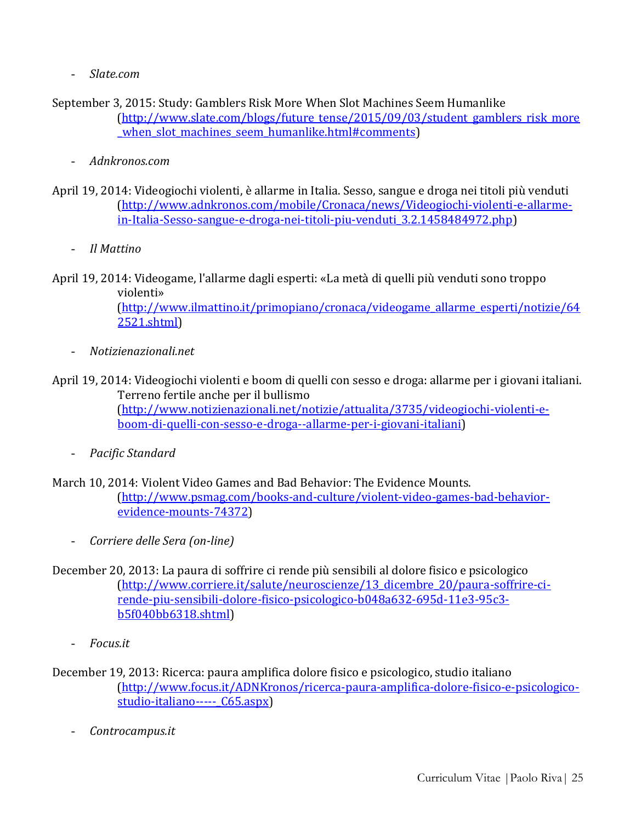- *Slate.com*
- September 3, 2015: Study: Gamblers Risk More When Slot Machines Seem Humanlike (http://www.slate.com/blogs/future\_tense/2015/09/03/student\_gamblers\_risk\_more when slot machines seem humanlike.html#comments)
	- *Adnkronos.com*
- April 19, 2014: Videogiochi violenti, è allarme in Italia. Sesso, sangue e droga nei titoli più venduti (http://www.adnkronos.com/mobile/Cronaca/news/Videogiochi-violenti-e-allarmein-Italia-Sesso-sangue-e-droga-nei-titoli-piu-venduti\_3.2.1458484972.php)
	- *Il Mattino*
- April 19, 2014: Videogame, l'allarme dagli esperti: «La metà di quelli più venduti sono troppo violenti» (http://www.ilmattino.it/primopiano/cronaca/videogame\_allarme\_esperti/notizie/64 2521.shtml)
	- *Notizienazionali.net*
- April 19, 2014: Videogiochi violenti e boom di quelli con sesso e droga: allarme per i giovani italiani. Terreno fertile anche per il bullismo (http://www.notizienazionali.net/notizie/attualita/3735/videogiochi-violenti-eboom-di-quelli-con-sesso-e-droga--allarme-per-i-giovani-italiani)
	- *Pacific Standard*
- March 10, 2014: Violent Video Games and Bad Behavior: The Evidence Mounts. (http://www.psmag.com/books-and-culture/violent-video-games-bad-behaviorevidence-mounts-74372)
	- *Corriere delle Sera (on-line)*
- December 20, 2013: La paura di soffrire ci rende più sensibili al dolore fisico e psicologico [\(http://www.corriere.it/salute/neuroscienze/13\\_dicembre\\_20/paura-soffrire-ci](http://www.corriere.it/salute/neuroscienze/13_dicembre_20/paura-soffrire-ci-rende-piu-sensibili-dolore-fisico-psicologico-b048a632-695d-11e3-95c3-b5f040bb6318.shtml)[rende-piu-sensibili-dolore-fisico-psicologico-b048a632-695d-11e3-95c3](http://www.corriere.it/salute/neuroscienze/13_dicembre_20/paura-soffrire-ci-rende-piu-sensibili-dolore-fisico-psicologico-b048a632-695d-11e3-95c3-b5f040bb6318.shtml) [b5f040bb6318.shtml\)](http://www.corriere.it/salute/neuroscienze/13_dicembre_20/paura-soffrire-ci-rende-piu-sensibili-dolore-fisico-psicologico-b048a632-695d-11e3-95c3-b5f040bb6318.shtml)
	- *Focus.it*
- December 19, 2013: Ricerca: paura amplifica dolore fisico e psicologico, studio italiano [\(http://www.focus.it/ADNKronos/ricerca-paura-amplifica-dolore-fisico-e-psicologico](http://www.focus.it/ADNKronos/ricerca-paura-amplifica-dolore-fisico-e-psicologico-studio-italiano-----_C65.aspx)studio-italiano----- C65.aspx)
	- *Controcampus.it*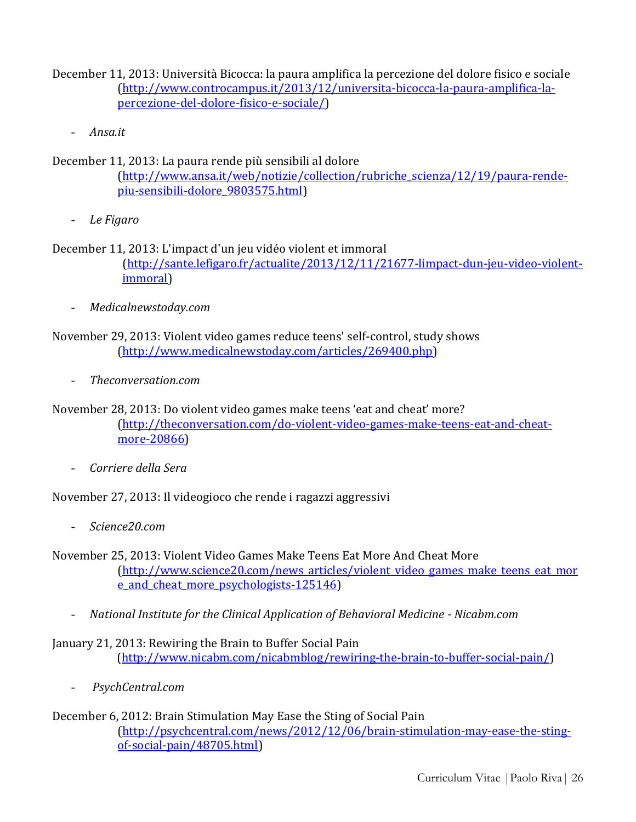December 11, 2013: Università Bicocca: la paura amplifica la percezione del dolore fisico e sociale [\(http://www.controcampus.it/2013/12/universita-bicocca-la-paura-amplifica-la](http://www.controcampus.it/2013/12/universita-bicocca-la-paura-amplifica-la-percezione-del-dolore-fisico-e-sociale/)[percezione-del-dolore-fisico-e-sociale/\)](http://www.controcampus.it/2013/12/universita-bicocca-la-paura-amplifica-la-percezione-del-dolore-fisico-e-sociale/)

- *Ansa.it*

December 11, 2013: La paura rende più sensibili al dolore

[\(http://www.ansa.it/web/notizie/collection/rubriche\\_scienza/12/19/paura-rende](http://www.ansa.it/web/notizie/collection/rubriche_scienza/12/19/paura-rende-piu-sensibili-dolore_9803575.html)[piu-sensibili-dolore\\_9803575.html\)](http://www.ansa.it/web/notizie/collection/rubriche_scienza/12/19/paura-rende-piu-sensibili-dolore_9803575.html)

- *Le Figaro*

December 11, 2013: L'impact d'un jeu vidéo violent et immoral [\(http://sante.lefigaro.fr/actualite/2013/12/11/21677-limpact-dun-jeu-video-violent](http://sante.lefigaro.fr/actualite/2013/12/11/21677-limpact-dun-jeu-video-violent-immoral)[immoral\)](http://sante.lefigaro.fr/actualite/2013/12/11/21677-limpact-dun-jeu-video-violent-immoral)

- *Medicalnewstoday.com*

November 29, 2013: Violent video games reduce teens' self-control, study shows [\(http://www.medicalnewstoday.com/articles/269400.php\)](http://www.medicalnewstoday.com/articles/269400.php)

- *Theconversation.com*

November 28, 2013: Do violent video games make teens 'eat and cheat' more? [\(http://theconversation.com/do-violent-video-games-make-teens-eat-and-cheat](http://theconversation.com/do-violent-video-games-make-teens-eat-and-cheat-more-20866)[more-20866\)](http://theconversation.com/do-violent-video-games-make-teens-eat-and-cheat-more-20866)

- *Corriere della Sera*

November 27, 2013: Il videogioco che rende i ragazzi aggressivi

- *Science20.com*

November 25, 2013: Violent Video Games Make Teens Eat More And Cheat More [\(http://www.science20.com/news\\_articles/violent\\_video\\_games\\_make\\_teens\\_eat\\_mor](http://www.science20.com/news_articles/violent_video_games_make_teens_eat_more_and_cheat_more_psychologists-125146) e and cheat more psychologists-125146)

- *National Institute for the Clinical Application of Behavioral Medicine - Nicabm.com*

January 21, 2013: Rewiring the Brain to Buffer Social Pain (http://www.nicabm.com/nicabmblog/rewiring-the-brain-to-buffer-social-pain/)

- *PsychCentral.com*

#### December 6, 2012: Brain Stimulation May Ease the Sting of Social Pain [\(http://psychcentral.com/news/2012/12/06/brain-stimulation-may-ease-the-sting](http://psychcentral.com/news/2012/12/06/brain-stimulation-may-ease-the-sting-of-social-pain/48705.html)[of-social-pain/48705.html\)](http://psychcentral.com/news/2012/12/06/brain-stimulation-may-ease-the-sting-of-social-pain/48705.html)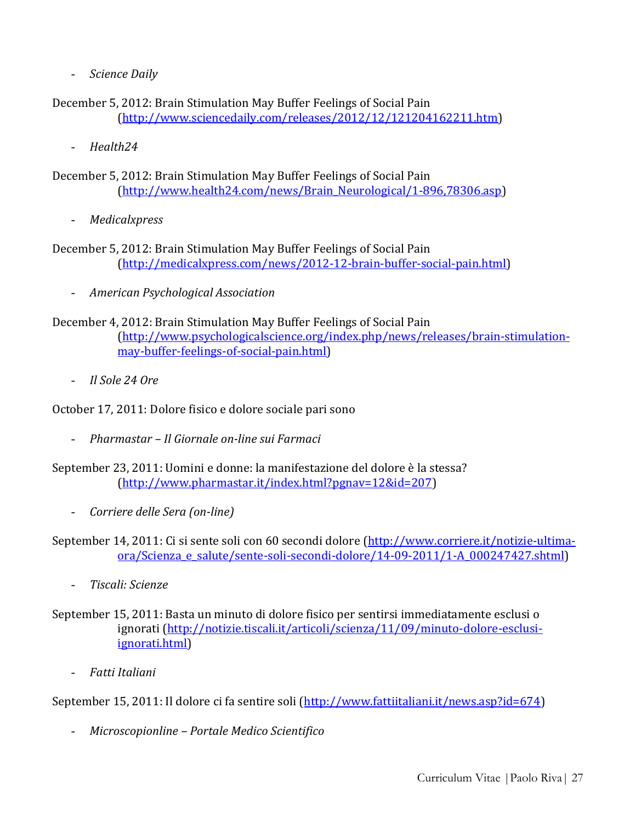- *Science Daily*

December 5, 2012: Brain Stimulation May Buffer Feelings of Social Pain [\(http://www.sciencedaily.com/releases/2012/12/121204162211.htm\)](http://www.sciencedaily.com/releases/2012/12/121204162211.htm)

- *Health24*
- December 5, 2012: Brain Stimulation May Buffer Feelings of Social Pain [\(http://www.health24.com/news/Brain\\_Neurological/1-896,78306.asp\)](http://www.health24.com/news/Brain_Neurological/1-896,78306.asp)
	- *Medicalxpress*
- December 5, 2012: Brain Stimulation May Buffer Feelings of Social Pain [\(http://medicalxpress.com/news/2012-12-brain-buffer-social-pain.html\)](http://medicalxpress.com/news/2012-12-brain-buffer-social-pain.html)
	- *American Psychological Association*
- December 4, 2012: Brain Stimulation May Buffer Feelings of Social Pain [\(http://www.psychologicalscience.org/index.php/news/releases/brain-stimulation](http://www.psychologicalscience.org/index.php/news/releases/brain-stimulation-may-buffer-feelings-of-social-pain.html)[may-buffer-feelings-of-social-pain.html\)](http://www.psychologicalscience.org/index.php/news/releases/brain-stimulation-may-buffer-feelings-of-social-pain.html)
	- *Il Sole 24 Ore*

October 17, 2011: Dolore fisico e dolore sociale pari sono

- *Pharmastar – Il Giornale on-line sui Farmaci*
- September 23, 2011: Uomini e donne: la manifestazione del dolore è la stessa? [\(http://www.pharmastar.it/index.html?pgnav=12&id=207\)](http://www.pharmastar.it/index.html?pgnav=12&id=207)
	- *Corriere delle Sera (on-line)*
- September 14, 2011: Ci si sente soli con 60 secondi dolore [\(http://www.corriere.it/notizie-ultima](http://www.corriere.it/notizie-ultima-ora/Scienza_e_salute/sente-soli-secondi-dolore/14-09-2011/1-A_000247427.shtml)[ora/Scienza\\_e\\_salute/sente-soli-secondi-dolore/14-09-2011/1-A\\_000247427.shtml\)](http://www.corriere.it/notizie-ultima-ora/Scienza_e_salute/sente-soli-secondi-dolore/14-09-2011/1-A_000247427.shtml)
	- *Tiscali: Scienze*
- September 15, 2011: Basta un minuto di dolore fisico per sentirsi immediatamente esclusi o ignorati [\(http://notizie.tiscali.it/articoli/scienza/11/09/minuto-dolore-esclusi](http://notizie.tiscali.it/articoli/scienza/11/09/minuto-dolore-esclusi-ignorati.html)[ignorati.html\)](http://notizie.tiscali.it/articoli/scienza/11/09/minuto-dolore-esclusi-ignorati.html)
	- *Fatti Italiani*

September 15, 2011: Il dolore ci fa sentire soli [\(http://www.fattiitaliani.it/news.asp?id=674\)](http://www.fattiitaliani.it/news.asp?id=674)

- *Microscopionline – Portale Medico Scientifico*